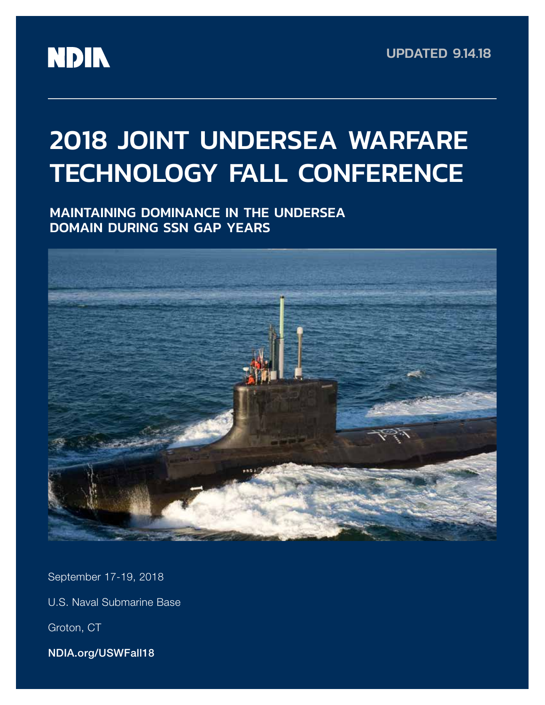

# 2018 JOINT UNDERSEA WARFARE TECHNOLOGY FALL CONFERENCE

MAINTAINING DOMINANCE IN THE UNDERSEA DOMAIN DURING SSN GAP YEARS



September 17-19, 2018

U.S. Naval Submarine Base

Groton, CT

NDIA.org/USWFall18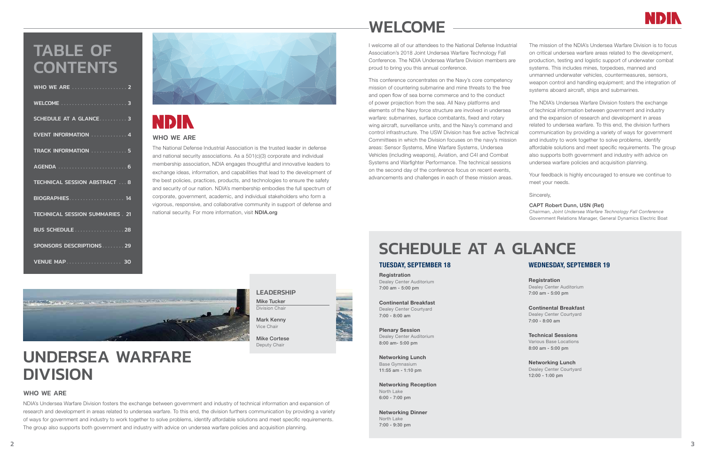LEADERSHIP Mike Tucker Division Chair

Mark Kenny Vice Chair

Mike Cortese Deputy Chair

# UNDERSEA WARFARE DIVISION

# WHO WE ARE

NDIA's Undersea Warfare Division fosters the exchange between government and industry of technical information and expansion of research and development in areas related to undersea warfare. To this end, the division furthers communication by providing a variety of ways for government and industry to work together to solve problems, identify affordable solutions and meet specific requirements. The group also supports both government and industry with advice on undersea warfare policies and acquisition planning.

# WHO WE ARE

# TABLE OF **CONTENTS**

The National Defense Industrial Association is the trusted leader in defense and national security associations. As a 501(c)(3) corporate and individual membership association, NDIA engages thoughtful and innovative leaders to exchange ideas, information, and capabilities that lead to the development of the best policies, practices, products, and technologies to ensure the safety and security of our nation. NDIA's membership embodies the full spectrum of corporate, government, academic, and individual stakeholders who form a vigorous, responsive, and collaborative community in support of defense and national security. For more information, visit NDIA.org

> **Registration** Dealey Center Auditorium 7:00 am - 5:00 pm

| <b>WELCOME</b> 3                      |
|---------------------------------------|
| SCHEDULE AT A GLANCE  3               |
| <b>EVENT INFORMATION</b> 4            |
| TRACK INFORMATION  5                  |
|                                       |
| <b>TECHNICAL SESSION ABSTRACT 8</b>   |
| <b>BIOGRAPHIES</b> 14                 |
| <b>TECHNICAL SESSION SUMMARIES 21</b> |
| <b>BUS SCHEDULE</b> 28                |
| SPONSORS DESCRIPTIONS 29              |
| <b>VENUE MAP 30</b>                   |



# **NDIN**

# SCHEDULE AT A GLANCE

# TUESDAY, SEPTEMBER 18

Registration Dealey Center Auditorium 7:00 am - 5:00 pm

Continental Breakfast Dealey Center Courtyard 7:00 - 8:00 am

Plenary Session Dealey Center Auditorium 8:00 am- 5:00 pm

Networking Lunch Base Gymnasium 11:55 am - 1:10 pm

Networking Reception

North Lake 6:00 - 7:00 pm

Networking Dinner

North Lake 7:00 - 9:30 pm



# WEDNESDAY, SEPTEMBER 19

Continental Breakfast Dealey Center Courtyard 7:00 - 8:00 am

# Technical Sessions Various Base Locations

8:00 am - 5:00 pm

# Networking Lunch

Dealey Center Courtyard 12:00 - 1:00 pm

# WELCOME

I welcome all of our attendees to the National Defense Industrial Association's 2018 Joint Undersea Warfare Technology Fall Conference. The NDIA Undersea Warfare Division members are proud to bring you this annual conference.

This conference concentrates on the Navy's core competency mission of countering submarine and mine threats to the free and open flow of sea borne commerce and to the conduct of power projection from the sea. All Navy platforms and elements of the Navy force structure are involved in undersea warfare: submarines, surface combatants, fixed and rotary wing aircraft, surveillance units, and the Navy's command and control infrastructure. The USW Division has five active Technical Committees in which the Division focuses on the navy's mission areas: Sensor Systems, Mine Warfare Systems, Undersea Vehicles (including weapons), Aviation, and C4I and Combat Systems and Warfighter Performance. The technical sessions on the second day of the conference focus on recent events, advancements and challenges in each of these mission areas.



The mission of the NDIA's Undersea Warfare Division is to focus on critical undersea warfare areas related to the development, production, testing and logistic support of underwater combat systems. This includes mines, torpedoes, manned and unmanned underwater vehicles, countermeasures, sensors, weapon control and handling equipment; and the integration of systems aboard aircraft, ships and submarines.

The NDIA's Undersea Warfare Division fosters the exchange of technical information between government and industry and the expansion of research and development in areas related to undersea warfare. To this end, the division furthers communication by providing a variety of ways for government and industry to work together to solve problems, identify affordable solutions and meet specific requirements. The group also supports both government and industry with advice on undersea warfare policies and acquisition planning.

Your feedback is highly encouraged to ensure we continue to meet your needs.

Sincerely,

# CAPT Robert Dunn, USN (Ret)

*Chairman, Joint Undersea Warfare Technology Fall Conference* Government Relations Manager, General Dynamics Electric Boat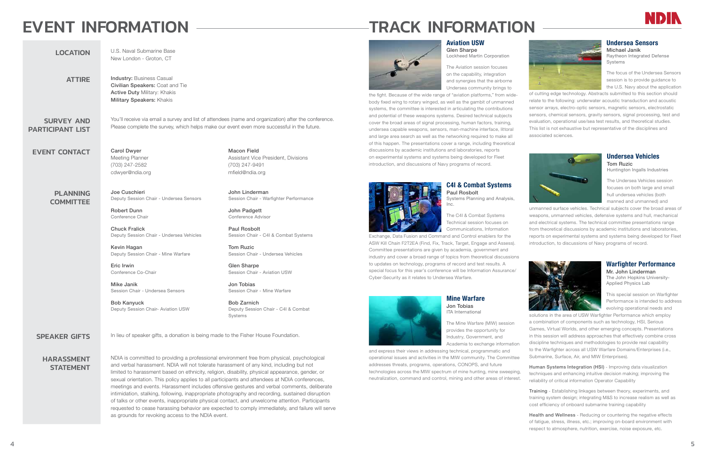# EVENT INFORMATION

LOCATION U.S. Naval Submarine Base

|                                              | New London - Groton, CT                                                                                                                |
|----------------------------------------------|----------------------------------------------------------------------------------------------------------------------------------------|
| <b>ATTIRE</b>                                | <b>Industry: Business Casual</b><br>Civilian Speakers: Coat a<br><b>Active Duty Military: Khak</b><br><b>Military Speakers: Khakis</b> |
| <b>SURVEY AND</b><br><b>PARTICIPANT LIST</b> | You'll receive via email a su<br>Please complete the survey                                                                            |
| <b>EVENT CONTACT</b>                         | <b>Carol Dwyer</b><br>Meeting Planner<br>(703) 247-2582<br>cdwyer@ndia.org                                                             |

# PLANNING **COMMITTEE**

Coat and Tie v: Khakis Khakis

> nail a survey and list of attendees (name and organization) after the conference. e survey, which helps make our event even more successful in the future.

> > Macon Field

Assistant Vice President, Divisions

(703) 247-9491 mfield@ndia.org

Joe Cuschieri Deputy Session Chair - Undersea Sensors

# HARASSMENT **STATEMENT**

Robert Dunn Conference Chair

Chuck Fralick Deputy Session Chair - Undersea Vehicles

Kevin Hagan Deputy Session Chair - Mine Warfare

Eric Irwin Conference Co-Chair

Mike Janik Session Chair - Undersea Sensors

Bob Kanyuck Deputy Session Chair- Aviation USW

SPEAKER GIFTS In lieu of speaker gifts, a donation is being made to the Fisher House Foundation.

John Linderman

Session Chair - Warfighter Performance

John Padgett Conference Advisor

Paul Rosbolt

Session Chair - C4I & Combat Systems

Tom Ruzic

Session Chair - Undersea Vehicles

Glen Sharpe

Session Chair - Aviation USW

Jon Tobias

Session Chair - Mine Warfare

Bob Zarnich

Deputy Session Chair - C4I & Combat

Systems

NDIA is committed to providing a professional environment free from physical, psychological and verbal harassment. NDIA will not tolerate harassment of any kind, including but not limited to harassment based on ethnicity, religion, disability, physical appearance, gender, or sexual orientation. This policy applies to all participants and attendees at NDIA conferences, meetings and events. Harassment includes offensive gestures and verbal comments, deliberate intimidation, stalking, following, inappropriate photography and recording, sustained disruption of talks or other events, inappropriate physical contact, and unwelcome attention. Participants requested to cease harassing behavior are expected to comply immediately, and failure will serve as grounds for revoking access to the NDIA event.

Michael Janik Raytheon Integrated Defense **Systems** 

# Aviation USW

Glen Sharpe Lockheed Martin Corporation

The Aviation session focuses on the capability, integration and synergies that the airborne Undersea community brings to

the fight. Because of the wide range of "aviation platforms," from widebody fixed wing to rotary winged, as well as the gambit of unmanned systems, the committee is interested in articulating the contributions and potential of these weapons systems. Desired technical subjects cover the broad areas of signal processing, human factors, training, undersea capable weapons, sensors, man-machine interface, littoral and large area search as well as the networking required to make all of this happen. The presentations cover a range, including theoretical discussions by academic institutions and laboratories, reports on experimental systems and systems being developed for Fleet introduction, and discussions of Navy programs of record.



# C4I & Combat Systems Paul Rosbolt

Systems Planning and Analysis, Inc.

The C4I & Combat Systems Technical session focuses on Communications, Information

Exchange, Data Fusion and Command and Control enablers for the ASW Kill Chain F2T2EA (Find, Fix, Track, Target, Engage and Assess). Committee presentations are given by academia, government and industry and cover a broad range of topics from theoretical discussions to updates on technology, programs of record and test results. A special focus for this year's conference will be Information Assurance/ Cyber-Security as it relates to Undersea Warfare.

# Mine Warfare Jon Tobias ITA International

The Mine Warfare (MIW) session provides the opportunity for Industry, Government, and Academia to exchange information

# Undersea Sensors

The focus of the Undersea Sensors session is to provide guidance to the U.S. Navy about the application

of cutting edge technology. Abstracts submitted to this section should relate to the following: underwater acoustic transduction and acoustic sensor arrays, electro-optic sensors, magnetic sensors, electrostatic sensors, chemical sensors, gravity sensors, signal processing, test and evaluation, operational use/sea test results, and theoretical studies. This list is not exhaustive but representative of the disciplines and associated sciences.



# Undersea Vehicles Tom Ruzic

Huntington Ingalls Industries

The Undersea Vehicles session focuses on both large and small hull undersea vehicles (both manned and unmanned) and

and express their views in addressing technical, programmatic and operational issues and activities in the MIW community. The Committee addresses threats, programs, operations, CONOPS, and future technologies across the MIW spectrum of mine hunting, mine sweeping, neutralization, command and control, mining and other areas of interest. Submarine, Surface, Air, and MIW Enterprises). Human Systems Integration (HSI) - Improving data visualization techniques and enhancing intuitive decision making; improving the reliability of critical information Operator Capability





unmanned surface vehicles. Technical subjects cover the broad areas of weapons, unmanned vehicles, defensive systems and hull, mechanical and electrical systems. The technical committee presentations range from theoretical discussions by academic institutions and laboratories, reports on experimental systems and systems being developed for Fleet introduction, to discussions of Navy programs of record.



# Warfighter Performance

Mr. John Linderman The John Hopkins University-Applied Physics Lab

This special session on Warfighter Performance is intended to address evolving operational needs and

solutions in the area of USW Warfighter Performance which employ a combination of components such as technology, HSI, Serious Games, Virtual Worlds, and other emerging concepts. Presentations in this session will address approaches that effectively combine cross discipline techniques and methodologies to provide real capability to the Warfighter across all USW Warfare Domains/Enterprises (i.e.,

Training - Establishing linkages between theory, experiments, and training system design; integrating M&S to increase realism as well as cost efficiency of onboard submarine training capability

Health and Wellness - Reducing or countering the negative effects of fatigue, stress, illness, etc.; improving on-board environment with respect to atmosphere, nutrition, exercise, noise exposure, etc.

# TRACK INFORMATION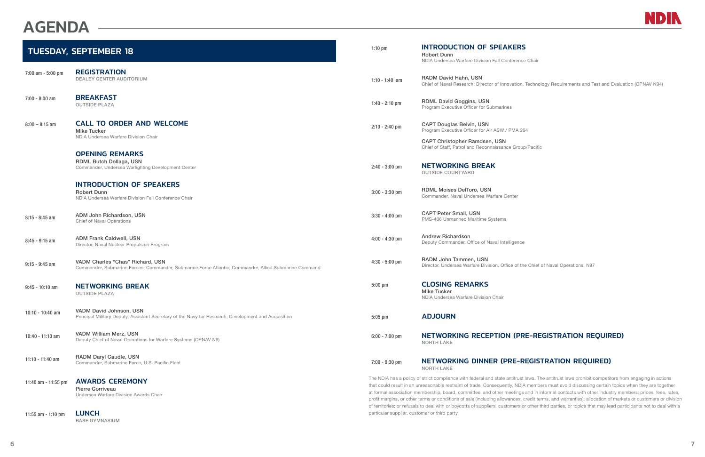# AGENDA

|                      | <b>TUESDAY, SEPTEMBER 18</b>                                                                                                              | $1:10$ pm        | <b>INTRODUCTION OF SPEAKERS</b><br><b>Robert Dunn</b><br>NDIA Undersea Warfare Division Fall Conference                                                                                                                                                                                                                     |
|----------------------|-------------------------------------------------------------------------------------------------------------------------------------------|------------------|-----------------------------------------------------------------------------------------------------------------------------------------------------------------------------------------------------------------------------------------------------------------------------------------------------------------------------|
| 7:00 am - 5:00 pm    | <b>REGISTRATION</b><br><b>DEALEY CENTER AUDITORIUM</b>                                                                                    | 1:10 - 1:40 am   | RADM David Hahn, USN<br>Chief of Naval Research; Director of Innovation, T                                                                                                                                                                                                                                                  |
| $7:00 - 8:00$ am     | <b>BREAKFAST</b><br><b>OUTSIDE PLAZA</b>                                                                                                  | $1:40 - 2:10$ pm | <b>RDML David Goggins, USN</b><br>Program Executive Officer for Submarines                                                                                                                                                                                                                                                  |
| $8:00 - 8:15$ am     | <b>CALL TO ORDER AND WELCOME</b><br><b>Mike Tucker</b><br>NDIA Undersea Warfare Division Chair                                            | $2:10 - 2:40$ pm | <b>CAPT Douglas Belvin, USN</b><br>Program Executive Officer for Air ASW / PMA 264                                                                                                                                                                                                                                          |
|                      |                                                                                                                                           |                  | <b>CAPT Christopher Ramdsen, USN</b><br>Chief of Staff, Patrol and Reconnaissance Group/                                                                                                                                                                                                                                    |
|                      | <b>OPENING REMARKS</b><br>RDML Butch Dollaga, USN<br>Commander, Undersea Warfighting Development Center                                   | $2:40 - 3:00$ pm | <b>NETWORKING BREAK</b><br><b>OUTSIDE COURTYARD</b>                                                                                                                                                                                                                                                                         |
|                      | <b>INTRODUCTION OF SPEAKERS</b><br><b>Robert Dunn</b><br>NDIA Undersea Warfare Division Fall Conference Chair                             | $3:00 - 3:30$ pm | <b>RDML Moises DelToro, USN</b><br>Commander, Naval Undersea Warfare Center                                                                                                                                                                                                                                                 |
| $8:15 - 8:45$ am     | ADM John Richardson, USN<br><b>Chief of Naval Operations</b>                                                                              | $3:30 - 4:00$ pm | <b>CAPT Peter Small, USN</b><br>PMS-406 Unmanned Maritime Systems                                                                                                                                                                                                                                                           |
| $8:45 - 9:15$ am     | <b>ADM Frank Caldwell, USN</b><br>Director, Naval Nuclear Propulsion Program                                                              | $4:00 - 4:30$ pm | <b>Andrew Richardson</b><br>Deputy Commander, Office of Naval Intelligence                                                                                                                                                                                                                                                  |
| $9:15 - 9:45$ am     | VADM Charles "Chas" Richard, USN<br>Commander, Submarine Forces; Commander, Submarine Force Atlantic; Commander, Allied Submarine Command | $4:30 - 5:00$ pm | RADM John Tammen, USN<br>Director, Undersea Warfare Division, Office of the                                                                                                                                                                                                                                                 |
| $9:45 - 10:10$ am    | <b>NETWORKING BREAK</b><br><b>OUTSIDE PLAZA</b>                                                                                           | $5:00$ pm        | <b>CLOSING REMARKS</b><br><b>Mike Tucker</b><br>NDIA Undersea Warfare Division Chair                                                                                                                                                                                                                                        |
| 10:10 - 10:40 am     | VADM David Johnson, USN<br>Principal Military Deputy, Assistant Secretary of the Navy for Research, Development and Acquisition           | $5:05$ pm        | <b>ADJOURN</b>                                                                                                                                                                                                                                                                                                              |
| $10:40 - 11:10$ am   | VADM William Merz, USN<br>Deputy Chief of Naval Operations for Warfare Systems (OPNAV N9)                                                 | $6:00 - 7:00$ pm | <b>NETWORKING RECEPTION (PRE</b><br><b>NORTH LAKE</b>                                                                                                                                                                                                                                                                       |
| 11:10 - 11:40 am     | RADM Daryl Caudle, USN<br>Commander, Submarine Force, U.S. Pacific Fleet                                                                  | $7:00 - 9:30$ pm | <b>NETWORKING DINNER (PRE-RE</b><br><b>NORTH LAKE</b>                                                                                                                                                                                                                                                                       |
| 11:40 am - 11:55 pm  | <b>AWARDS CEREMONY</b><br><b>Pierre Corriveau</b><br>Undersea Warfare Division Awards Chair                                               |                  | The NDIA has a policy of strict compliance with federal and state antitrust la<br>that could result in an unreasonable restraint of trade. Consequently, NDIA<br>at formal association membership, board, committee, and other meetings a<br>profit margins, or other terms or conditions of sale (including allowances, cr |
| 11:55 $am - 1:10 pm$ | <b>LUNCH</b><br><b>BASE GYMNASIUM</b>                                                                                                     |                  | of territories; or refusals to deal with or boycotts of suppliers, customers or<br>particular supplier, customer or third party.                                                                                                                                                                                            |



nce Chair

on, Technology Requirements and Test and Evaluation (OPNAV N94)

oup/Pacific

f the Chief of Naval Operations, N97

# PRE-REGISTRATION REQUIRED)

# -REGISTRATION REQUIRED)

ust laws. The antitrust laws prohibit competitors from engaging in actions DIA members must avoid discussing certain topics when they are together ags and in informal contacts with other industry members: prices, fees, rates, s, credit terms, and warranties); allocation of markets or customers or division s or other third parties, or topics that may lead participants not to deal with a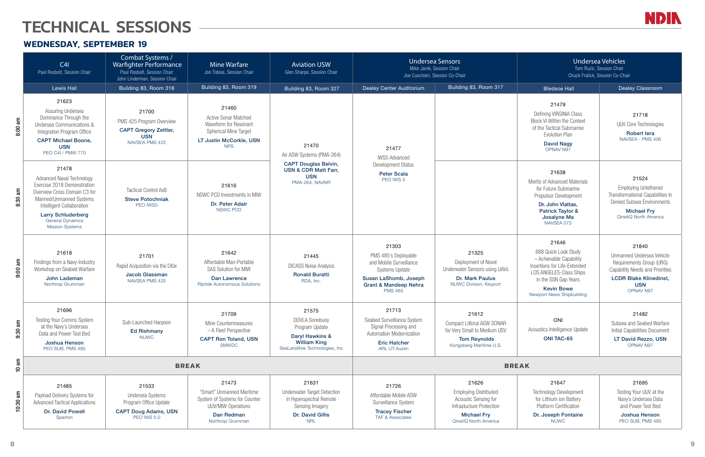# TECHNICAL SESSIONS

# **WEDNESDAY, SEPTEMBER 19**

|                 | C4I<br>Paul Rosbolt, Session Chair                                                                                                                                                                                                                 | Combat Systems /<br>Warfighter Performance<br>Paul Rosbolt, Session Chair<br>John Linderman, Session Chair     | <b>Mine Warfare</b><br>Jon Tobias, Session Chair                                                                                       | <b>Aviation USW</b><br>Glen Sharpe, Session Chair                                                                           | <b>Undersea Sensors</b><br>Mike Janik, Session Chair<br>Joe Cuschieri, Session Co-Chair                                                                          |                                                                                                                                                        | <b>Undersea Vehicles</b><br>Tom Ruzic, Session Chair<br>Chuck Fralick, Session Co-Chair                                                                                                              |                                                                                                                                                           |
|-----------------|----------------------------------------------------------------------------------------------------------------------------------------------------------------------------------------------------------------------------------------------------|----------------------------------------------------------------------------------------------------------------|----------------------------------------------------------------------------------------------------------------------------------------|-----------------------------------------------------------------------------------------------------------------------------|------------------------------------------------------------------------------------------------------------------------------------------------------------------|--------------------------------------------------------------------------------------------------------------------------------------------------------|------------------------------------------------------------------------------------------------------------------------------------------------------------------------------------------------------|-----------------------------------------------------------------------------------------------------------------------------------------------------------|
|                 | <b>Lewis Hall</b>                                                                                                                                                                                                                                  | Building 83, Room 318                                                                                          | Building 83, Room 319                                                                                                                  | Building 83, Room 327                                                                                                       | Dealey Center Auditorium                                                                                                                                         | Building 83, Room 317                                                                                                                                  | <b>Bledsoe Hall</b>                                                                                                                                                                                  | <b>Dealey Classroom</b>                                                                                                                                   |
| 8:00 am         | 21623<br>Assuring Undersea<br>Dominance Through the<br>Undersea Communications &<br>Integration Program Office<br><b>CAPT Michael Boone,</b><br><b>USN</b><br>PEO C4I / PMW 770                                                                    | 21700<br>PMS 425 Program Overview<br><b>CAPT Gregory Zettler,</b><br><b>USN</b><br>NAVSEA PMS 425              | 21460<br><b>Active Sonar Matched</b><br>Waveform for Resonant<br><b>Spherical Mine Target</b><br>LT Justin McCorkle, USN<br><b>NPS</b> | 21470<br>Air ASW Systems (PMA-264)                                                                                          | 21477<br><b>IWS5 Advanced</b>                                                                                                                                    |                                                                                                                                                        | 21479<br>Defining VIRGINIA Class<br><b>Block VI Within the Context</b><br>of the Tactical Submarine<br><b>Evolution Plan</b><br><b>David Nagy</b><br>OPNAV N97                                       | 21718<br><b>UUV Core Technologie</b><br><b>Robert lera</b><br>NAVSEA - PMS 406                                                                            |
| 8:30 am         | 21478<br><b>Advanced Naval Technology</b><br>Exercise 2018 Demonstration<br>Overview Cross Domain C3 for<br>Manned/Unmanned Systems<br>Intelligent Collaboration<br><b>Larry Schluderberg</b><br><b>General Dynamics</b><br><b>Mission Systems</b> | <b>Tactical Control AxB</b><br><b>Steve Potochniak</b><br>PEO IWS5                                             | 21616<br>NSWC PCD Investments in MIW<br>Dr. Peter Adair<br>NSWC PCD                                                                    | <b>CAPT Douglas Belvin,</b><br><b>USN &amp; CDR Matt Farr,</b><br><b>USN</b><br>PMA-264, NAVAIR                             | <b>Development Status</b><br><b>Peter Scala</b><br>PEO IWS 5                                                                                                     |                                                                                                                                                        | 21638<br><b>Merits of Advanced Materials</b><br>for Future Submarine<br><b>Propulsor Development</b><br>Dr. John Vlattas,<br>Patrick Taylor &<br>Josalyne Ma<br>NAVSEA 073                           | 21524<br><b>Employing Untethered</b><br><b>Transformational Capabilit</b><br>Denied Subsea Environm<br><b>Michael Fry</b><br><b>QinetiQ North America</b> |
| $9:00$ am       | 21618<br>Findings from a Navy-Industry<br>Workshop on Seabed Warfare<br>John Lademan<br>Northrop Grumman                                                                                                                                           | 21701<br>Rapid Acquisition via the DIUx<br><b>Jacob Glassman</b><br>NAVSEA PMS 425                             | 21642<br>Affordable Man-Portable<br><b>SAS Solution for MIW</b><br><b>Dan Lawrence</b><br><b>Riptide Autonomous Solutions</b>          | 21445<br><b>DICASS Noise Analysis</b><br><b>Ronald Buratti</b><br>RDA, Inc.                                                 | 21303<br>PMS 485's Deployable<br>and Mobile Surveillance<br><b>Systems Update</b><br>Susan LaShomb, Joseph<br><b>Grant &amp; Mandeep Nehra</b><br><b>PMS 485</b> | 21325<br>Deployment of Novel<br><b>Underwater Sensors using UAVs</b><br>Dr. Mark Paulus<br>NUWC Division, Keyport                                      | 21646<br>688 Quick Look Study<br>- Achievable Capability<br>Insertions for Life-Extended<br><b>LOS ANGELES-Class Ships</b><br>in the SSN Gap Years<br><b>Kevin Bowe</b><br>Newport News Shipbuilding | 21840<br>Unmanned Undersea Veh<br>Requirements Group (UF<br>Capability Needs and Prio<br><b>LCDR Blake Klinedir</b><br><b>USN</b><br>OPNAV N97            |
| $9:30$ am       | 21696<br>Testing Your Comms System<br>at the Navy's Undersea<br>Data and Power Test Bed<br>Joshua Henson<br>PEO SUB, PMS 485                                                                                                                       | Sub-Launched Harpoon<br><b>Ed Rishmany</b><br><b>NUWC</b>                                                      | 21709<br>Mine Countermeasures<br>- A Fleet Perspective<br><b>CAPT Ron Toland, USN</b><br><b>SMWDC</b>                                  | 21575<br><b>DDVLA Sonobuoy</b><br>Program Update<br>Daryl Hawkins &<br><b>William King</b><br>SeaLandAire Technologies, Inc | 21713<br>Seabed Surveillance System<br>Signal Processing and<br>Automation Modernization<br><b>Eric Hatcher</b><br><b>ARL UT-Austin</b>                          | 21612<br><b>Compact Littoral ASW SONAR</b><br>for Very Small to Medium USV<br><b>Tom Reynolds</b><br>Kongsberg Maritime U.S.                           | ONI<br>Acoustics Intelligence Update<br><b>ONI TAC-65</b>                                                                                                                                            | 21482<br>Subsea and Seabed War<br>Initial Capabilities Docum<br>LT David Rezzo, US<br>OPNAV N97                                                           |
| $10 \text{ am}$ | <b>BREAK</b><br><b>BREAK</b>                                                                                                                                                                                                                       |                                                                                                                |                                                                                                                                        |                                                                                                                             |                                                                                                                                                                  |                                                                                                                                                        |                                                                                                                                                                                                      |                                                                                                                                                           |
| $10:30$ am      | 21485<br>Payload Delivery Systems for<br><b>Advanced Tactical Applications</b><br><b>Dr. David Powell</b><br>Sparton                                                                                                                               | 21533<br><b>Undersea Systems</b><br>Program Office Update<br><b>CAPT Doug Adams, USN</b><br><b>PEO IWS 5.0</b> | 21473<br>"Smart" Unmanned Maritime<br>System of Systems for Counter<br><b>UUV/MIW Operations</b><br>Dan Redman<br>Northrop Grumman     | 21631<br><b>Underwater Target Detection</b><br>in Hyperspectral Remote<br>Sensing Imagery<br>Dr. David Gillis<br><b>NRL</b> | 21726<br>Affordable Mobile ASW<br>Surveillance System<br><b>Tracey Fischer</b><br><b>TAF &amp; Associates</b>                                                    | 21626<br><b>Employing Distributed</b><br><b>Acoustic Sensing for</b><br>Infrastucture Protection<br><b>Michael Fry</b><br><b>QinetiQ North America</b> | 21647<br><b>Technology Development</b><br>for Lithium ion Battery<br><b>Platform Certification</b><br>Dr. Joseph Fontaine<br><b>NUWC</b>                                                             | 21695<br>Testing Your UUV at th<br>Navy's Undersea Data<br>and Power Test Bed<br>Joshua Henson<br>PEO SUB, PMS 485                                        |



| <b>Undersea Vehicles</b><br>Tom Ruzic, Session Chair<br>Chuck Fralick, Session Co-Chair                                                                                                       |                                                                                                                                                                      |  |  |  |  |
|-----------------------------------------------------------------------------------------------------------------------------------------------------------------------------------------------|----------------------------------------------------------------------------------------------------------------------------------------------------------------------|--|--|--|--|
| <b>Bledsoe Hall</b>                                                                                                                                                                           | <b>Dealey Classroom</b>                                                                                                                                              |  |  |  |  |
| 21479<br><b>Defining VIRGINIA Class</b><br><b>Block VI Within the Context</b><br>of the Tactical Submarine<br><b>Evolution Plan</b><br><b>David Nagy</b><br><b>OPNAV N97</b>                  | 21718<br><b>UUV Core Technologies</b><br><b>Robert lera</b><br>NAVSEA - PMS 406                                                                                      |  |  |  |  |
| 21638<br>Merits of Advanced Materials<br>for Future Submarine<br>Propulsor Development<br>Dr. John Vlattas,<br>Patrick Taylor &<br>Josalyne Ma<br>NAVSEA 073                                  | 21524<br><b>Employing Untethered</b><br>Transformational Capabilities In<br><b>Denied Subsea Environments</b><br><b>Michael Fry</b><br><b>OinetiQ North America</b>  |  |  |  |  |
| 21646<br>688 Quick Look Study<br>- Achievable Capability<br>Insertions for Life-Extended<br>LOS ANGELES-Class Ships<br>in the SSN Gap Years<br><b>Kevin Bowe</b><br>Newport News Shipbuilding | 21840<br>Unmanned Undersea Vehicle<br>Requirements Group (URG)<br><b>Capability Needs and Priorities</b><br><b>LCDR Blake Klinedinst,</b><br>USN<br><b>OPNAV N97</b> |  |  |  |  |
| ONI<br>Acoustics Intelligence Update<br><b>ONI TAC-65</b>                                                                                                                                     | 21482<br>Subsea and Seabed Warfare<br>Initial Capabilities Document<br>LT David Rezzo, USN<br><b>OPNAV N97</b>                                                       |  |  |  |  |
| AΚ                                                                                                                                                                                            |                                                                                                                                                                      |  |  |  |  |
| 21647                                                                                                                                                                                         | 21695                                                                                                                                                                |  |  |  |  |

# 21695

Testing Your UUV at the Navy's Undersea Data and Power Test Bed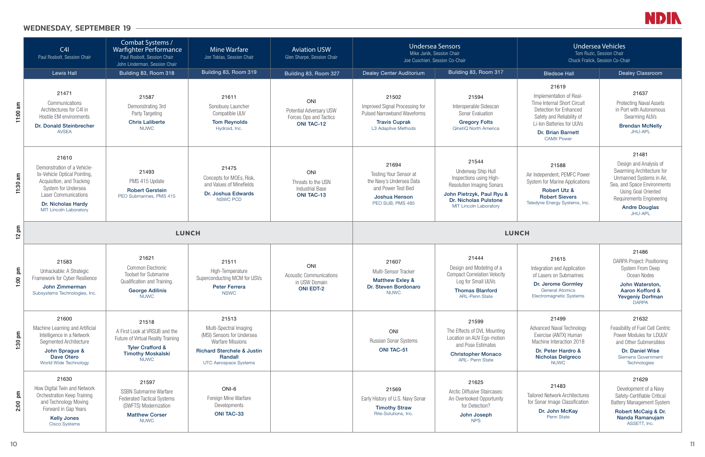

# Undersea Vehicles

# 21619

# 21637

Protecting Naval Assets in Port with Autonomous Swarming AUVs

## Brendan McNelly JHU-APL

## John Waterston, Aaron Kofford & Yevgeniy Dorfman DARPA

# 21481

Design and Analysis of Swarming Architecture for Unmanned Systems in Air, Sea, and Space Environments Using Goal Oriented Requirements Engineering

|                                 | C4I<br>Paul Rosbolt, Session Chair                                                                                                                                                                             | Combat Systems /<br>Warfighter Performance<br>Paul Rosbolt, Session Chair<br>John Linderman, Session Chair                                             | <b>Mine Warfare</b><br>Jon Tobias, Session Chair                                                                                                                             | <b>Aviation USW</b><br>Glen Sharpe, Session Chair                                    | <b>Undersea Sensors</b><br>Mike Janik, Session Chair<br>Joe Cuschieri, Session Co-Chair                                      |                                                                                                                                                                                          | <b>Undersea Vehicles</b><br>Tom Ruzic, Session Chair<br>Chuck Fralick, Session Co-Chair                                                                                                              |                                                                                                                                                                                               |
|---------------------------------|----------------------------------------------------------------------------------------------------------------------------------------------------------------------------------------------------------------|--------------------------------------------------------------------------------------------------------------------------------------------------------|------------------------------------------------------------------------------------------------------------------------------------------------------------------------------|--------------------------------------------------------------------------------------|------------------------------------------------------------------------------------------------------------------------------|------------------------------------------------------------------------------------------------------------------------------------------------------------------------------------------|------------------------------------------------------------------------------------------------------------------------------------------------------------------------------------------------------|-----------------------------------------------------------------------------------------------------------------------------------------------------------------------------------------------|
|                                 | <b>Lewis Hall</b>                                                                                                                                                                                              | Building 83, Room 318                                                                                                                                  | Building 83, Room 319                                                                                                                                                        | Building 83, Room 327                                                                | Dealey Center Auditorium                                                                                                     | Building 83, Room 317                                                                                                                                                                    | <b>Bledsoe Hall</b>                                                                                                                                                                                  | <b>Dealey Classroom</b>                                                                                                                                                                       |
| 11:00 $am$                      | 21471<br>Communications<br>Architectures for C4I in<br>Hostile EM environments<br>Dr. Donald Steinbrecher<br><b>AVSEA</b>                                                                                      | 21587<br>Demonstrating 3rd<br>Party Targeting<br><b>Chris Laliberte</b><br><b>NUWC</b>                                                                 | 21611<br>Sonobuoy Launcher<br>Compatible UUV<br><b>Tom Reynolds</b><br>Hydroid, Inc.                                                                                         | ONI<br><b>Potential Adversary USW</b><br>Forces Ops and Tactics<br><b>ONI TAC-12</b> | 21502<br>Improved Signal Processing for<br><b>Pulsed Narrowband Waveforms</b><br><b>Travis Cuprak</b><br>L3 Adaptive Methods | 21594<br>Interoperable Sidescan<br>Sonar Evaluation<br><b>Gregory Folts</b><br>QinetiQ North America                                                                                     | 21619<br>Implementation of Real-<br>Time Internal Short Circuit<br>Detection for Enhanced<br>Safety and Reliability of<br>Li-Ion Batteries for UUVs<br><b>Dr. Brian Barnett</b><br><b>CAMX Power</b> | 21637<br><b>Protecting Naval Asset</b><br>in Port with Autonomou<br>Swarming AUVs<br><b>Brendan McNelly</b><br>JHU-APL                                                                        |
| $11:30$ am                      | 21610<br>Demonstration of a Vehicle-<br>to-Vehicle Optical Pointing,<br>Acquisition, and Tracking<br>System for Undersea<br><b>Laser Communications</b><br>Dr. Nicholas Hardy<br><b>MIT Lincoln Laboratory</b> | 21493<br>PMS 415 Update<br><b>Robert Gerstein</b><br>PEO Submarines, PMS 415                                                                           | 21475<br>Concepts for MOEs, Risk,<br>and Values of Minefields<br>Dr. Joshua Edwards<br><b>NSWC PCD</b>                                                                       | ONI<br>Threats to the USN<br><b>Industrial Base</b><br><b>ONI TAC-13</b>             | 21694<br>Testing Your Sensor at<br>the Navy's Undersea Data<br>and Power Test Bed<br>Joshua Henson<br>PEO SUB, PMS 485       | 21544<br><b>Underway Ship Hull</b><br>Inspections using High-<br><b>Resolution Imaging Sonars</b><br>John Pietrzyk, Paul Ryu &<br>Dr. Nicholas Pulstone<br><b>MIT Lincoln Laboratory</b> | 21588<br>Air Independent, PEMFC Power<br><b>System for Marine Applications</b><br><b>Robert Utz &amp;</b><br><b>Robert Sievers</b><br>Teledyne Energy Systems, Inc.                                  | 21481<br>Design and Analysis o<br>Swarming Architecture<br>Unmanned Systems in<br>Sea, and Space Environm<br>Using Goal Oriented<br>Requirements Engineeri<br><b>Andre Douglas</b><br>JHU-APL |
| $12$ pm                         |                                                                                                                                                                                                                | <b>LUNCH</b><br><b>LUNCH</b>                                                                                                                           |                                                                                                                                                                              |                                                                                      |                                                                                                                              |                                                                                                                                                                                          |                                                                                                                                                                                                      |                                                                                                                                                                                               |
| $\mathsf{g}$<br>1:00            | 21583<br>Unhackable: A Strategic<br>Framework for Cyber Resilience<br>John Zimmerman<br>Subsystems Technologies, Inc.                                                                                          | 21621<br>Common Electronic<br><b>Toolset for Submarine</b><br>Qualification and Training.<br><b>George Adilinis</b><br><b>NUWC</b>                     | 21511<br>High-Temperature<br>Superconducting MCM for USVs<br><b>Peter Ferrera</b><br><b>NSWC</b>                                                                             | ONI<br><b>Acoustic Communications</b><br>in USW Domain<br><b>ONI EDT-2</b>           | 21607<br>Multi-Sensor Tracker<br><b>Matthew Exley &amp;</b><br>Dr. Steven Bordonaro<br><b>NUWC</b>                           | 21444<br>Design and Modeling of a<br><b>Compact Correlation Velocity</b><br>Log for Small UUVs<br><b>Thomas Blanford</b><br><b>ARL-Penn State</b>                                        | 21615<br>Integration and Application<br>of Lasers on Submarines<br>Dr. Jerome Gormley<br><b>General Atomics</b><br>Electromagnetic Systems                                                           | 21486<br><b>DARPA Project: Position</b><br><b>System From Deep</b><br>Ocean Nodes<br>John Waterston,<br>Aaron Kofford &<br><b>Yevgeniy Dorfmar</b><br><b>DARPA</b>                            |
| $\overline{\mathsf{p}}$<br>1:30 | 21600<br>Machine Learning and Artificial<br>Intelligence in a Network<br>Segmented Architecture<br>John Sprague &<br>Dave Otero<br>World Wide Technology                                                       | 21518<br>A First Look at VRSUB and the<br>Future of Virtual Reality Training<br><b>Tyler Crafford &amp;</b><br><b>Timothy Moskalski</b><br><b>NUWC</b> | 21513<br>Multi-Spectral Imaging<br>(MSI) Sensors for Undersea<br><b>Warfare Missions</b><br><b>Richard Sterchele &amp; Justin</b><br>Randall<br><b>UTC Aerospace Systems</b> |                                                                                      | ONI<br>Russian Sonar Systems<br><b>ONI TAC-51</b>                                                                            | 21599<br>The Effects of DVL Mounting<br>Location on AUV Ego-motion<br>and Pose Estimates<br><b>Christopher Monaco</b><br>ARL- Penn State                                                 | 21499<br><b>Advanced Naval Technology</b><br>Exercise (ANTX) Human<br>Machine Interaction 2018<br>Dr. Peter Hardro &<br><b>Nicholas Delgreco</b><br><b>NUWC</b>                                      | 21632<br>Feasibility of Fuel Cell Ce<br>Power Modules for LDU<br>and Other Submersible<br>Dr. Daniel Wise<br>Siemens Government<br>Technologies                                               |
| $\overline{\mathsf{p}}$<br>2:00 | 21630<br>How Digital Twin and Network<br>Orchestration Keep Training<br>and Technology Moving<br>Forward in Gap Years<br><b>Kelly Jones</b><br><b>Cisco Systems</b>                                            | 21597<br><b>SSBN Submarine Warfare</b><br><b>Federated Tactical Systems</b><br>(SWFTS) Modernization<br><b>Matthew Corser</b><br><b>NUWC</b>           | ONI-6<br>Foreign Mine Warfare<br>Developments<br><b>ONI TAC-33</b>                                                                                                           |                                                                                      | 21569<br>Early History of U.S. Navy Sonar<br><b>Timothy Straw</b><br>Rite-Solutions, Inc.                                    | 21625<br><b>Arctic Diffusive Staircases:</b><br>An Overlooked Opportunity<br>for Detection?<br>John Joseph<br><b>NPS</b>                                                                 | 21483<br><b>Tailored Network Architectures</b><br>for Sonar Image Classification<br>Dr. John McKay<br>Penn State                                                                                     | 21629<br>Development of a Nav<br>Safety-Certifiable Critic<br><b>Battery Management Sys</b><br><b>Robert McCaig &amp; D</b><br>Nanda Ramanujan<br>ASSETT, Inc.                                |

Robert McCaig & Dr. Nanda Ramanujam ASSETT, Inc.

# 21486

DARPA Project: Positioning System From Deep Ocean Nodes

# 21499

# 21632

Feasibility of Fuel Cell Centric Power Modules for LDUUV and Other Submersibles

# 21483

# 21629

Development of a Navy Safety-Certifiable Critical Battery Management System

# WEDNESDAY, SEPTEMBER 19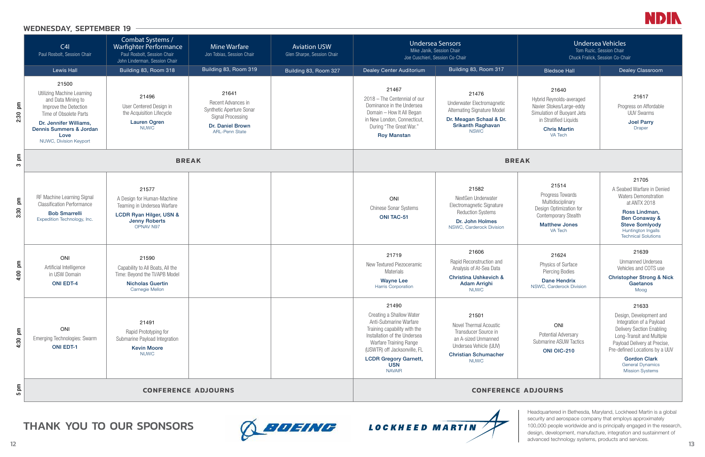



|                                      | C41<br>Paul Rosbolt, Session Chair                                                                                                                                                                         | Combat Systems /<br><b>Warfighter Performance</b><br>Paul Rosbolt, Session Chair<br>John Linderman, Session Chair                  | <b>Mine Warfare</b><br>Jon Tobias, Session Chair                                                                                 | <b>Aviation USW</b><br>Glen Sharpe, Session Chair | <b>Undersea Sensors</b><br>Mike Janik, Session Chair<br>Joe Cuschieri, Session Co-Chair                                                                                                                                                              |                                                                                                                                                               | <b>Undersea Vehicles</b><br>Tom Ruzic, Session Chair<br>Chuck Fralick, Session Co-Chair                                                                |                                                                                                                                                                                                                                                               |
|--------------------------------------|------------------------------------------------------------------------------------------------------------------------------------------------------------------------------------------------------------|------------------------------------------------------------------------------------------------------------------------------------|----------------------------------------------------------------------------------------------------------------------------------|---------------------------------------------------|------------------------------------------------------------------------------------------------------------------------------------------------------------------------------------------------------------------------------------------------------|---------------------------------------------------------------------------------------------------------------------------------------------------------------|--------------------------------------------------------------------------------------------------------------------------------------------------------|---------------------------------------------------------------------------------------------------------------------------------------------------------------------------------------------------------------------------------------------------------------|
|                                      | Lewis Hall                                                                                                                                                                                                 | Building 83, Room 318                                                                                                              | Building 83, Room 319                                                                                                            | Building 83, Room 327                             | Dealey Center Auditorium                                                                                                                                                                                                                             | Building 83, Room 317                                                                                                                                         | <b>Bledsoe Hall</b>                                                                                                                                    | Dealey Classroom                                                                                                                                                                                                                                              |
| $\overline{\mathsf{p}}$<br>2:30      | 21500<br><b>Utilizing Machine Learning</b><br>and Data Mining to<br>Improve the Detection<br>Time of Obsolete Parts<br>Dr. Jennifer Williams,<br>Dennis Summers & Jordan<br>Love<br>NUWC, Division Keyport | 21496<br>User Centered Design in<br>the Acquisition Lifecycle<br><b>Lauren Ogren</b><br><b>NUWC</b>                                | 21641<br>Recent Advances in<br>Synthetic Aperture Sonar<br><b>Signal Processing</b><br>Dr. Daniel Brown<br><b>ARL-Penn State</b> |                                                   | 21467<br>2018 - The Centennial of our<br>Dominance in the Undersea<br>Domain - How It All Began<br>in New London, Connecticut,<br>During "The Great War."<br><b>Roy Manstan</b>                                                                      | 21476<br>Underwater Electromagnetic<br><b>Alternating Signature Model</b><br>Dr. Meagan Schaal & Dr.<br><b>Srikanth Raghavan</b><br><b>NSWC</b>               | 21640<br>Hybrid Reynolds-averaged<br>Navier Stokes/Large-eddy<br>Simulation of Buoyant Jets<br>in Stratified Liquids<br><b>Chris Martin</b><br>VA Tech | 21617<br>Progress on Affordable<br><b>UUV Swarms</b><br><b>Joel Parry</b><br><b>Draper</b>                                                                                                                                                                    |
| E<br>S                               | <b>BREAK</b>                                                                                                                                                                                               |                                                                                                                                    |                                                                                                                                  |                                                   | <b>BREAK</b>                                                                                                                                                                                                                                         |                                                                                                                                                               |                                                                                                                                                        |                                                                                                                                                                                                                                                               |
| $\mathsf{g}$<br>3:30                 | RF Machine Learning Signal<br><b>Classification Performance</b><br><b>Bob Smarrelli</b><br>Expedition Technology, Inc.                                                                                     | 21577<br>A Design for Human-Machine<br>Teaming in Undersea Warfare<br>LCDR Ryan Hilger, USN &<br><b>Jenny Roberts</b><br>OPNAV N97 |                                                                                                                                  |                                                   | ONI<br><b>Chinese Sonar Systems</b><br><b>ONI TAC-51</b>                                                                                                                                                                                             | 21582<br>NextGen Underwater<br>Electromagnetic Signature<br><b>Reduction Systems</b><br>Dr. John Holmes<br>NSWC, Carderock Division                           | 21514<br>Progress Towards<br>Multidisciplinary<br>Design Optimization for<br><b>Contemporary Stealth</b><br><b>Matthew Jones</b><br>VA Tech            | 21705<br>A Seabed Warfare in Der<br><b>Waters Demonstration</b><br>at ANTX 2018<br>Ross Lindman,<br><b>Ben Conaway &amp;</b><br><b>Steve Somlyody</b><br>Huntington Ingalls<br><b>Technical Solutions</b>                                                     |
| mq<br>4:00                           | ONI<br>Artificial Intelligence<br>in USW Domain<br><b>ONI EDT-4</b>                                                                                                                                        | 21590<br>Capability to All Boats, All the<br>Time: Beyond the TI/APB Model<br><b>Nicholas Guertin</b><br>Carnegie Mellon           |                                                                                                                                  |                                                   | 21719<br>New Textured Piezoceramic<br>Materials<br><b>Wayne Lee</b><br><b>Harris Corporation</b>                                                                                                                                                     | 21606<br>Rapid Reconstruction and<br>Analysis of At-Sea Data<br><b>Christina Ushkevich &amp;</b><br><b>Adam Arrighi</b><br><b>NUWC</b>                        | 21624<br>Physics of Surface<br><b>Piercing Bodies</b><br><b>Dane Hendrix</b><br>NSWC, Carderock Division                                               | 21639<br><b>Unmanned Undersea</b><br>Vehicles and COTS us<br><b>Christopher Strong &amp;</b><br>Gaetanos<br>Moog                                                                                                                                              |
| E<br>4:30                            | ONI<br><b>Emerging Technologies: Swarm</b><br><b>ONI EDT-1</b>                                                                                                                                             | 21491<br>Rapid Prototyping for<br>Submarine Payload Integration<br><b>Kevin Moore</b><br><b>NUWC</b>                               |                                                                                                                                  |                                                   | 21490<br>Creating a Shallow Water<br>Anti-Submarine Warfare<br>Training capability with the<br>Installation of the Undersea<br>Warfare Training Range<br>(USWTR) off Jacksonville, FL<br><b>LCDR Gregory Garnett,</b><br><b>USN</b><br><b>NAVAIR</b> | 21501<br><b>Novel Thermal Acoustic</b><br>Transducer Source in<br>an A-sized Unmanned<br>Undersea Vehicle (UUV)<br><b>Christian Schumacher</b><br><b>NUWC</b> | ONI<br><b>Potential Adversary</b><br><b>Submarine ASUW Tactics</b><br><b>ONI OIC-210</b>                                                               | 21633<br>Design, Development a<br>Integration of a Payloa<br><b>Delivery Section Enablir</b><br>Long-Transit and Multip<br>Payload Delivery at Prec<br>Pre-defined Locations by a<br><b>Gordon Clark</b><br><b>General Dynamics</b><br><b>Mission Systems</b> |
| E<br><b>CONFERENCE ADJOURNS</b><br>5 |                                                                                                                                                                                                            |                                                                                                                                    |                                                                                                                                  |                                                   |                                                                                                                                                                                                                                                      |                                                                                                                                                               | <b>CONFERENCE ADJOURNS</b>                                                                                                                             |                                                                                                                                                                                                                                                               |

## Undersea Vehicles Tom Ruzic, Session Chair Chuck Fralick, Session Co-Chair 21640 Hybrid Reynolds-averaged Navier Stokes/Large-eddy Simulation of Buoyant Jets in Stratified Liquids Chris Martin VA Tech 21617 Progress on Affordable UUV Swarms Joel Parry Draper 21514 Progress Towards Multidisciplinary Design Optimization for Contemporary Stealth Matthew Jones VA Tech 21705 A Seabed Warfare in Denied Waters Demonstration at ANTX 2018 Ross Lindman, Ben Conaway & Steve Somlyody Huntington Ingalls Technical Solutions 21624 Physics of Surface Piercing Bodies Dane Hendrix NSWC, Carderock Division 21639 Unmanned Undersea Vehicles and COTS use Christopher Strong & Nick **Gaetanos** Moog ONI Potential Adversary Submarine ASUW Tactics ONI OIC-210 21633 Design, Development and Integration of a Payload Delivery Section Enabling Long-Transit and Multiple Payload Delivery at Precise, Pre-defined Locations by a UUV Gordon Clark General Dynamics Mission Systems

# WEDNESDAY, SEPTEMBER 19





Headquartered in Bethesda, Maryland, Lockheed Martin is a global security and aerospace company that employs approximately 100,000 people worldwide and is principally engaged in the research, design, development, manufacture, integration and sustainment of advanced technology systems, products and services.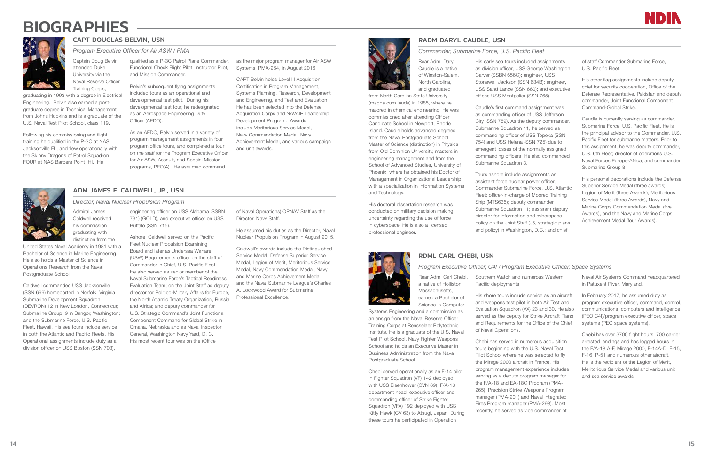# **BIOGRAPHIES**



# CAPT DOUGLAS BELVIN, USN *Program Executive Officer for Air ASW / PMA*

Captain Doug Belvin attended Duke University via the Naval Reserve Officer Training Corps,

graduating in 1993 with a degree in Electrical Engineering. Belvin also earned a postgraduate degree in Technical Management from Johns Hopkins and is a graduate of the U.S. Naval Test Pilot School, class 119.

Following his commissioning and flight training he qualified in the P-3C at NAS Jacksonville FL, and flew operationally with the Skinny Dragons of Patrol Squadron FOUR at NAS Barbers Point, HI. He

qualified as a P-3C Patrol Plane Commander, Functional Check Flight Pilot, Instructor Pilot, and Mission Commander.

> Belvin's subsequent flying assignments included tours as an operational and developmental test pilot. During his developmental test tour, he redesignated as an Aerospace Engineering Duty Officer (AEDO).

United States Naval Academy in 1981 with a Bachelor of Science in Marine Engineering. He also holds a Master of Science in Operations Research from the Naval Postgraduate School.

As an AEDO, Belvin served in a variety of program management assignments in four program office tours, and completed a tour on the staff for the Program Executive Officer for Air ASW, Assault, and Special Mission programs, PEO(A). He assumed command

as the major program manager for Air ASW Systems, PMA-264, in August 2016.

CAPT Belvin holds Level III Acquisition Certification in Program Management, Systems Planning, Research, Development and Engineering, and Test and Evaluation. He has been selected into the Defense Acquisition Corps and NAVAIR Leadership Development Program. Awards include Meritorious Service Medal, Navy Commendation Medal, Navy Achievement Medal, and various campaign and unit awards.

# ADM JAMES F. CALDWELL, JR., USN

# Admiral James Caldwell received his commission graduating with distinction from the

*Director, Naval Nuclear Propulsion Program* engineering officer on USS Alabama (SSBN

Caldwell commanded USS Jacksonville (SSN 699) homeported in Norfolk, Virginia; Submarine Development Squadron (DEVRON) 12 in New London, Connecticut; Submarine Group 9 in Bangor, Washington; and the Submarine Force, U.S. Pacific Fleet, Hawaii. His sea tours include service in both the Atlantic and Pacific Fleets. His Operational assignments include duty as a division officer on USS Boston (SSN 703),

Caudle's first command assignment was as commanding officer of USS Jefferson City (SSN 759). As the deputy commander, Submarine Squadron 11, he served as commanding officer of USS Topeka (SSN 754) and USS Helena (SSN 725) due to emergent losses of the normally assigned commanding officers. He also commanded Submarine Squadron 3.

731) (GOLD), and executive officer on USS Buffalo (SSN 715).

Ashore, Caldwell served on the Pacific Fleet Nuclear Propulsion Examining Board and later as Undersea Warfare (USW) Requirements officer on the staff of Commander in Chief, U.S. Pacific Fleet. He also served as senior member of the Naval Submarine Force's Tactical Readiness Evaluation Team; on the Joint Staff as deputy director for Politico-Military Affairs for Europe, the North Atlantic Treaty Organization, Russia and Africa; and deputy commander for U.S. Strategic Command's Joint Functional Component Command for Global Strike in Omaha, Nebraska and as Naval Inspector General, Washington Navy Yard, D. C. His most recent tour was on the (Office

of Naval Operations) OPNAV Staff as the Director, Navy Staff.

He assumed his duties as the Director, Naval Nuclear Propulsion Program in August 2015.

Caldwell's awards include the Distinguished Service Medal, Defense Superior Service Medal, Legion of Merit, Meritorious Service Medal, Navy Commendation Medal, Navy and Marine Corps Achievement Medal, and the Naval Submarine League's Charles A. Lockwood Award for Submarine Professional Excellence.

# RADM DARYL CAUDLE, USN

*Commander, Submarine Force, U.S. Pacific Fleet*



Rear Adm. Daryl Caudle is a native of Winston-Salem, North Carolina, and graduated

from North Carolina State University (magna cum laude) in 1985, where he majored in chemical engineering. He was commissioned after attending Officer Candidate School in Newport, Rhode Island. Caudle holds advanced degrees from the Naval Postgraduate School. Master of Science (distinction) in Physics from Old Dominion University, masters in engineering management and from the School of Advanced Studies, University of Phoenix, where he obtained his Doctor of Management in Organizational Leadership with a specialization in Information Systems and Technology.

His doctoral dissertation research was conducted on military decision making uncertainty regarding the use of force in cyberspace. He is also a licensed professional engineer.

His early sea tours included assignments as division officer, USS George Washington Carver (SSBN 656G); engineer, USS Stonewall Jackson (SSN 634B); engineer, USS Sand Lance (SSN 660); and executive officer, USS Montpelier (SSN 765).

Tours ashore include assignments as assistant force nuclear power officer, Commander Submarine Force, U.S. Atlantic Fleet; officer-in-charge of Moored Training Ship (MTS635); deputy commander, Submarine Squadron 11; assistant deputy director for information and cyberspace policy on the Joint Staff (J5, strategic plans and policy) in Washington, D.C.; and chief

of staff Commander Submarine Force, U.S. Pacific Fleet.

His other flag assignments include deputy chief for security cooperation, Office of the Defense Representative, Pakistan and deputy commander, Joint Functional Component Command-Global Strike.

Caudle is currently serving as commander, Submarine Force, U.S. Pacific Fleet. He is the principal advisor to the Commander, U.S. Pacific Fleet for submarine matters. Prior to this assignment, he was deputy commander, U.S. 6th Fleet; director of operations U.S. Naval Forces Europe-Africa; and commander, Submarine Group 8.

His personal decorations include the Defense Superior Service Medal (three awards), Legion of Merit (three Awards), Meritorious Service Medal (three Awards), Navy and Marine Corps Commendation Medal (five Awards), and the Navy and Marine Corps Achievement Medal (four Awards).

# RDML CARL CHEBI, USN

# *Program Executive Officer, C4I / Program Executive Officer, Space Systems*

Massachusetts, earned a Bachelor of Science in Computer

Systems Engineering and a commission as an ensign from the Naval Reserve Officer Training Corps at Rensselaer Polytechnic Institute. He is a graduate of the U.S. Naval Test Pilot School, Navy Fighter Weapons School and holds an Executive Master in Business Administration from the Naval Postgraduate School.

Rear Adm. Carl Chebi, a native of Holliston, Pacific deployments.

Chebi served operationally as an F-14 pilot in Fighter Squadron (VF) 142 deployed with USS Eisenhower (CVN 69), F/A-18 department head, executive officer and commanding officer of Strike Fighter Squadron (VFA) 192 deployed with USS Kitty Hawk (CV 63) to Atsugi, Japan. During these tours he participated in Operation

Southern Watch and numerous Western

His shore tours include service as an aircraft and weapons test pilot in both Air Test and Evaluation Squadron (VX) 23 and 30. He also served as the deputy for Strike Aircraft Plans and Requirements for the Office of the Chief of Naval Operations.

Chebi has served in numerous acquisition tours beginning with the U.S. Naval Test Pilot School where he was selected to fly the Mirage 2000 aircraft in France. His program management experience includes serving as a deputy program manager for the F/A-18 and EA-18G Program (PMA-265), Precision Strike Weapons Program manager (PMA-201) and Naval Integrated Fires Program manager (PMA-298). Most recently, he served as vice commander of



Naval Air Systems Command headquartered in Patuxent River, Maryland.

In February 2017, he assumed duty as program executive officer, command, control, communications, computers and intelligence (PEO C4I)/program executive officer, space systems (PEO space systems).

Chebi has over 3700 flight hours, 700 carrier arrested landings and has logged hours in the F/A-18 A-F, Mirage 2000, F-14A-D, F-15, F-16, P-51 and numerous other aircraft. He is the recipient of the Legion of Merit, Meritorious Service Medal and various unit and sea service awards.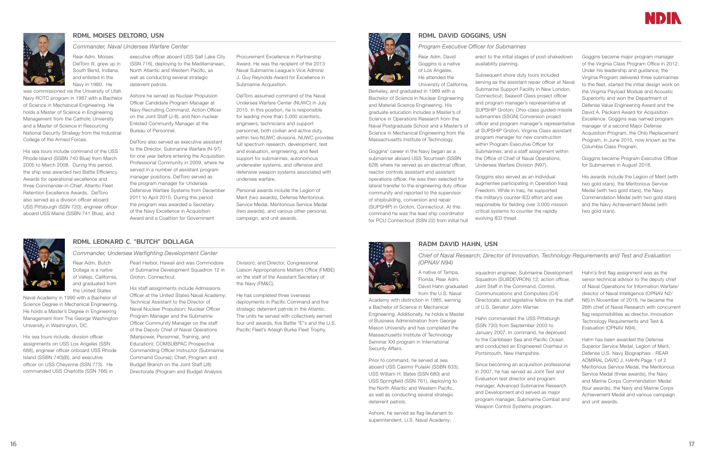

# RDML MOISES DELTORO, USN

## *Commander, Naval Undersea Warfare Center*

Rear Adm. Moises DelToro III, grew up in South Bend, Indiana, and enlisted in the Navy in 1980. He

was commissioned via the University of Utah Navy ROTC program in 1987 with a Bachelor of Science in Mechanical Engineering. He holds a Master of Science in Engineering Management from the Catholic University and a Master of Science in Resourcing National Security Strategy from the Industrial College of the Armed Forces.

His sea tours include command of the USS Rhode Island (SSBN 740 Blue) from March 2005 to March 2008. During this period, the ship was awarded two Battle Efficiency Awards for operational excellence and three Commander-in-Chief, Atlantic Fleet Retention Excellence Awards. DelToro also served as a division officer aboard USS Pittsburgh (SSN 720); engineer officer aboard USS Maine (SSBN 741 Blue), and

executive officer aboard USS Salt Lake City (SSN 716), deploying to the Mediterranean, North Atlantic and Western Pacific, as well as conducting several strategic deterrent patrols.

> Ashore he served as Nuclear Propulsion Officer Candidate Program Manager at Navy Recruiting Command, Action Officer on the Joint Staff (J-8), and Non-nuclear Enlisted Community Manager at the Bureau of Personnel.

DelToro also served as executive assistant to the Director, Submarine Warfare (N-97) for one year before entering the Acquisition Professional Community in 2009, where he served in a number of assistant program manager positions. DelToro served as the program manager for Undersea Defensive Warfare Systems from December 2011 to April 2015. During this period the program was awarded a Secretary of the Navy Excellence in Acquisition Award and a Coalition for Government

Procurement Excellence in Partnership Award. He was the recipient of the 2013 Naval Submarine League's Vice Admiral J. Guy Reynolds Award for Excellence in Submarine Acquisition.

DelToro assumed command of the Naval Undersea Warfare Center (NUWC) in July 2015. In this position, he is responsible for leading more than 5,000 scientists, engineers, technicians and support personnel, both civilian and active duty, within two NUWC divisions. NUWC provides full spectrum research, development, test and evaluation, engineering, and fleet support for submarines, autonomous underwater systems, and offensive and defensive weapon systems associated with undersea warfare.

Personal awards include the Legion of Merit (two awards), Defense Meritorious Service Medal, Meritorious Service Medal (two awards), and various other personal, campaign, and unit awards.



# RDML LEONARD C. "BUTCH" DOLLAGA

*Commander, Undersea Warfighting Development Center*

Rear Adm. Butch Dollaga is a native of Vallejo, California, and graduated from the United States

Naval Academy in 1990 with a Bachelor of Science Degree in Mechanical Engineering. He holds a Master's Degree in Engineering Management from The George Washington

University in Washington, DC.

His sea tours include, division officer assignments on USS Los Angeles (SSN 688), engineer officer onboard USS Rhode Island (SSBN 740)(B), and executive officer on USS Cheyenne (SSN 773). He commanded USS Charlotte (SSN 766) in

Pearl Harbor, Hawaii and was Commodore of Submarine Development Squadron 12 in Groton, Connecticut.

> His staff assignments include Admissions Officer at the United States Naval Academy; Technical Assistant to the Director of Naval Nuclear Propulsion; Nuclear Officer Program Manager and the Submarine Officer Community Manager on the staff of the Deputy Chief of Naval Operations (Manpower, Personnel, Training, and Education); COMSUBPAC Prospective Commanding Officer Instructor (Submarine Command Course); Chief, Program and Budget Branch on the Joint Staff (J8) Directorate (Program and Budget Analysis

Division); and Director, Congressional Liaison Appropriations Matters Office (FMBE) on the staff of the Assistant Secretary of the Navy (FM&C).

He has completed three overseas deployments in Pacific Command and five strategic deterrent patrols in the Atlantic. The units he served with collectively earned four unit awards, five Battle "E"s and the U.S. Pacific Fleet's Arleigh Burke Fleet Trophy.

# RDML DAVID GOGGINS, USN

*Program Executive Officer for Submarines*

Rear Adm. David Goggins is a native of Los Angeles. He attended the University of California,

Berkeley, and graduated in 1989 with a Bachelor of Science in Nuclear Engineering and Material Science Engineering. His graduate education includes a Master's of Science in Operations Research from the Naval Postgraduate School and a Master's of Science in Mechanical Engineering from the Massachusetts Institute of Technology.

Goggins' career in the Navy began as a submariner aboard USS Tecumseh (SSBN 628) where he served as an electrical officer, reactor controls assistant and assistant operations officer. He was then selected for lateral transfer to the engineering duty officer community and reported to the supervisor of shipbuilding, conversion and repair (SUPSHIP) in Groton, Connecticut. At this command he was the lead ship coordinator for PCU Connecticut (SSN 22) from initial hull

erect to the initial stages of post-shakedown availability planning.

Subsequent shore duty tours included serving as the assistant repair officer at Naval Submarine Support Facility in New London, Connecticut; Seawolf Class project officer and program manager's representative at SUPSHIP Groton; Ohio-class guided-missile submarines (SSGN) Conversion project officer and program manager's representative at SUPSHIP Groton; Virginia Class assistant program manager for new construction within Program Executive Officer for Submarines; and a staff assignment within the Office of Chief of Naval Operations, Undersea Warfare Division (N97).

augmentee participating in Operation Iraqi the military's counter-IED effort and was responsible for fielding over 3,000 mission

Goggins also served as an individual Freedom. While in Iraq, he supported critical systems to counter the rapidly evolving IED threat.

Goggins became major program manager of the Virginia Class Program Office in 2012. Under his leadership and guidance, the Virginia Program delivered three submarines to the fleet, started the initial design work on the Virginia Payload Module and Acoustic Superiority and won the Department of Defense Value Engineering Award and the David A. Packard Award for Acquisition Excellence. Goggins was named program manager of a second Major Defense Acquisition Program, the Ohio Replacement Program, in June 2015, now known as the Columbia Class Program.

Goggins became Program Executive Officer for Submarines in August 2018.

His awards include the Legion of Merit (with two gold stars), the Meritorious Service Medal (with two gold stars), the Navy Commendation Medal (with two gold stars) and the Navy Achievement Medal (with two gold stars).

# RADM DAVID HAHN, USN

*Chief of Naval Research; Director of Innovation, Technology Requirements and Test and Evaluation (OPNAV N94)*

A native of Tampa, Florida, Rear Adm. David Hahn graduated from the U.S. Naval

Academy with distinction in 1985, earning a Bachelor of Science in Mechanical Engineering. Additionally, he holds a Master of Business Administration from George Mason University and has completed the Massachusetts Institute of Technology Seminar XXI program in International Security Affairs.

Prior to command, he served at sea aboard USS Casimir Pulaski (SSBN 633), USS William H. Bates (SSN 680) and USS Springfield (SSN 761), deploying to the North Atlantic and Western Pacific, as well as conducting several strategic deterrent patrols.

Ashore, he served as flag lieutenant to superintendent, U.S. Naval Academy;

squadron engineer, Submarine Development Squadron (SUBDEVRON) 12; action officer, Joint Staff in the Command, Control, Communications and Computers (C4) Directorate; and legislative fellow on the staff of U.S. Senator John Warner.

Hahn commanded the USS Pittsburgh (SSN 720) from September 2003 to January 2007. In command, he deployed to the Caribbean Sea and Pacific Ocean and conducted an Engineered Overhaul in Portsmouth, New Hampshire.

Since becoming an acquisition professional in 2007, he has served as Joint Test and Evaluation test director and program manager, Advanced Submarine Research and Development and served as major program manager, Submarine Combat and Weapon Control Systems program.



Hahn's first flag assignment was as the senior technical advisor to the deputy chief of Naval Operations for Information Warfare/ director of Naval Intelligence (OPNAV N2/ N6).In November of 2016, he became the 26th chief of Naval Research with concurrent flag responsibilities as director, Innovation Technology Requirements and Test & Evaluation (OPNAV N94).

Hahn has been awarded the Defense Superior Service Medal, Legion of Merit, Defense U.S. Navy Biographies - REAR ADMIRAL DAVID J. HAHN Page 1 of 2 Meritorious Service Medal, the Meritorious Service Medal (three awards), the Navy and Marine Corps Commendation Medal (four awards), the Navy and Marine Corps Achievement Medal and various campaign and unit awards.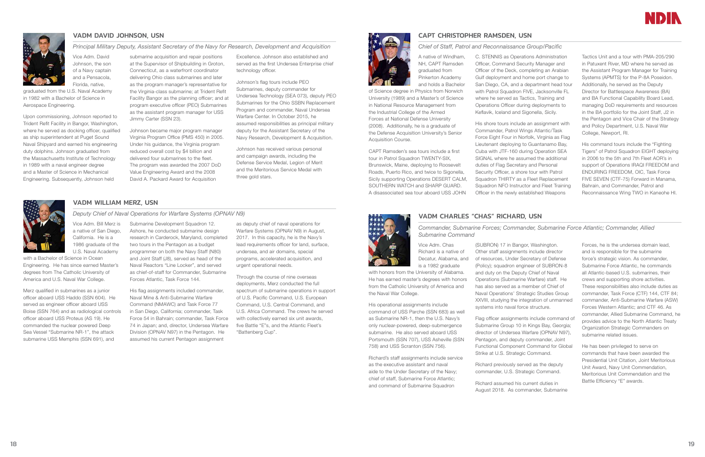

# VADM DAVID JOHNSON, USN

*Principal Military Deputy, Assistant Secretary of the Navy for Research, Development and Acquisition* Vice Adm. David Johnson, the son of a Navy captain and a Pensacola, Florida, native,

graduated from the U.S. Naval Academy in 1982 with a Bachelor of Science in Aerospace Engineering.

Upon commissioning, Johnson reported to Trident Refit Facility in Bangor, Washington, where he served as docking officer, qualified as ship superintendent at Puget Sound Naval Shipyard and earned his engineering duty dolphins. Johnson graduated from the Massachusetts Institute of Technology in 1989 with a naval engineer degree and a Master of Science in Mechanical Engineering. Subsequently, Johnson held

submarine acquisition and repair positions at the Supervisor of Shipbuilding in Groton, Connecticut, as a waterfront coordinator delivering Ohio class submarines and later as the program manager's representative for the Virginia-class submarine; at Trident Refit Facility Bangor as the planning officer; and at program executive officer (PEO) Submarines as the assistant program manager for USS

Jimmy Carter (SSN 23).

Johnson became major program manager Virginia Program Office (PMS 450) in 2005. Under his guidance, the Virginia program reduced overall cost by \$4 billion and delivered four submarines to the fleet. The program was awarded the 2007 DoD Value Engineering Award and the 2008 David A. Packard Award for Acquisition

Excellence. Johnson also established and served as the first Undersea Enterprise chief technology officer.

Johnson's flag tours include PEO Submarines, deputy commander for Undersea Technology (SEA 073), deputy PEO Submarines for the Ohio SSBN Replacement Program and commander, Naval Undersea Warfare Center. In October 2015, he assumed responsibilities as principal military deputy for the Assistant Secretary of the Navy Research, Development & Acquisition.

Johnson has received various personal and campaign awards, including the Defense Service Medal, Legion of Merit and the Meritorious Service Medal with three gold stars.



# VADM WILLIAM MERZ, USN

*Deputy Chief of Naval Operations for Warfare Systems (OPNAV N9)*

Vice Adm. Bill Merz is a native of San Diego, California. He is a 1986 graduate of the U.S. Naval Academy

with a Bachelor of Science in Ocean Engineering. He has since earned Master's degrees from The Catholic University of America and U.S. Naval War College.

Merz qualified in submarines as a junior officer aboard USS Haddo (SSN 604). He served as engineer officer aboard USS Boise (SSN 764) and as radiological controls officer aboard USS Proteus (AS 19). He commanded the nuclear powered Deep Sea Vessel "Submarine NR-1", the attack submarine USS Memphis (SSN 691), and

Submarine Development Squadron 12. Ashore, he conducted submarine design

two tours in the Pentagon as a budget programmer on both the Navy Staff (N80) and Joint Staff (J8), served as head of the Naval Reactors "Line Locker", and served as chief-of-staff for Commander, Submarine

Forces Atlantic, Task Force 144.

research in Carderock, Maryland, completed as deputy chief of naval operations for Warfare Systems (OPNAV N9) in August, 2017. In this capacity, he is the Navy's lead requirements officer for land, surface, undersea, and air domains, special programs, accelerated acquisition, and urgent operational needs.

His flag assignments included commander, Naval Mine & Anti-Submarine Warfare Command (NMAWC) and Task Force 77 in San Diego, California; commander, Task Force 54 in Bahrain; commander, Task Force 74 in Japan; and, director, Undersea Warfare Division (OPNAV N97) in the Pentagon. He assumed his current Pentagon assignment

> Richard's staff assignments include service as the executive assistant and naval aide to the Under Secretary of the Navy; chief of staff, Submarine Force Atlantic; and command of Submarine Squadron

Through the course of nine overseas deployments, Merz conducted the full spectrum of submarine operations in support of U.S. Pacific Command, U.S. European Command, U.S. Central Command, and U.S. Africa Command. The crews he served with collectively earned six unit awards. five Battle "E"s, and the Atlantic Fleet's "Battenberg Cup".

# CAPT CHRISTOPHER RAMSDEN, USN

## *Chief of Staff, Patrol and Reconnaissance Group/Pacific*

A native of Windham, NH, CAPT Ramsden graduated from Pinkerton Academy and holds a Bachelor

of Science degree in Physics from Norwich University (1989) and a Master's of Science in National Resource Management from the Industrial College of the Armed Forces at National Defense University (2008). Additionally, he is a graduate of the Defense Acquisition University's Senior Acquisition Course.

CAPT Ramsden's sea tours include a first tour in Patrol Squadron TWENTY-SIX, Brunswick, Maine, deploying to Roosevelt Roads, Puerto Rico, and twice to Sigonella, Sicily supporting Operations DESERT CALM, SOUTHERN WATCH and SHARP GUARD. A disassociated sea tour aboard USS JOHN

C. STENNIS as Operations Administration Officer, Command Security Manager and Officer of the Deck, completing an Arabian Gulf deployment and home port change to San Diego, CA, and a department head tour with Patrol Squadron FIVE, Jacksonville FL where he served as Tactics, Training and Operations Officer during deployments to Keflavik, Iceland and Sigonella, Sicily.

His shore tours include an assignment with Commander, Patrol Wings Atlantic/Task Force Eight Four in Norfolk, Virginia as Flag Lieutenant deploying to Guantanamo Bay, Cuba with JTF-160 during Operation SEA SIGNAL where he assumed the additional duties of Flag Secretary and Personal Security Officer, a shore tour with Patrol Squadron THIRTY as a Fleet Replacement Squadron NFO Instructor and Fleet Training Officer in the newly established Weapons

Tactics Unit and a tour with PMA-205/290 in Patuxent River, MD where he served as the Assistant Program Manager for Training Systems (APMTS) for the P-8A Poseidon. Additionally, he served as the Deputy Director for Battlespace Awareness (BA) and BA Functional Capability Board Lead, managing DoD requirements and resources in the BA portfolio for the Joint Staff, J2 in the Pentagon and Vice Chair of the Strategy and Policy Department, U.S. Naval War College, Newport, RI.

His command tours include the "Fighting Tigers" of Patrol Squadron EIGHT deploying in 2006 to the 5th and 7th Fleet AOR's in support of Operations IRAQI FREEDOM and ENDURING FREEDOM, OIC, Task Force FIVE SEVEN (CTF-75) Forward in Manama, Bahrain, and Commander, Patrol and Reconnaissance Wing TWO in Kaneohe HI.

# VADM CHARLES "CHAS" RICHARD, USN

*Commander, Submarine Forces; Commander, Submarine Force Atlantic; Commander, Allied Submarine Command*

Vice Adm. Chas Richard is a native of Decatur, Alabama, and is a 1982 graduate

with honors from the University of Alabama. He has earned master's degrees with honors from the Catholic University of America and the Naval War College.

His operational assignments include command of USS Parche (SSN 683) as well as Submarine NR-1, then the U.S. Navy's only nuclear-powered, deep-submergence submarine. He also served aboard USS Portsmouth (SSN 707), USS Asheville (SSN 758) and USS Scranton (SSN 756).

(SUBRON) 17 in Bangor, Washington. Other staff assignments include director of resources, Under Secretary of Defense (Policy); squadron engineer of SUBRON-8 and duty on the Deputy Chief of Naval Operations (Submarine Warfare) staff. He has also served as a member of Chief of Naval Operations' Strategic Studies Group XXVIII, studying the integration of unmanned systems into naval force structure.

Flag officer assignments include command of Submarine Group 10 in Kings Bay, Georgia; director of Undersea Warfare (OPNAV N97), Pentagon, and deputy commander, Joint Functional Component Command for Global Strike at U.S. Strategic Command.

Richard previously served as the deputy commander, U.S. Strategic Command.

Richard assumed his current duties in August 2018. As commander, Submarine



Forces, he is the undersea domain lead, and is responsible for the submarine force's strategic vision. As commander, Submarine Force Atlantic, he commands all Atlantic-based U.S. submarines, their crews and supporting shore activities. These responsibilities also include duties as commander, Task Force (CTF) 144, CTF 84; commander, Anti-Submarine Warfare (ASW) Forces Western Atlantic; and CTF 46. As commander, Allied Submarine Command, he provides advice to the North Atlantic Treaty Organization Strategic Commanders on submarine related issues.

He has been privileged to serve on commands that have been awarded the Presidential Unit Citation, Joint Meritorious Unit Award, Navy Unit Commendation, Meritorious Unit Commendation and the Battle Efficiency "E" awards.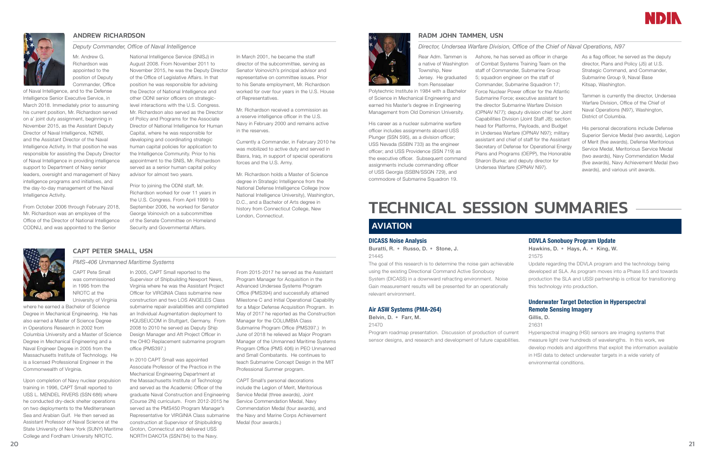

# ANDREW RICHARDSON

## *Deputy Commander, Office of Naval Intelligence*

Mr. Andrew G. Richardson was appointed to the position of Deputy Commander, Office

of Naval Intelligence, and to the Defense Intelligence Senior Executive Service, in March 2018. Immediately prior to assuming his current position, Mr. Richardson served on a' joint duty assignment, beginning in November 2015, as the Assistant Deputy Director of Naval Intelligence, N2N6I, and the Assistant Director of the Naval Intelligence Activity. In that position he was responsible for assisting the Deputy Director of Naval Intelligence in providing intelligence support to Department of Navy senior leaders, oversight and management of Navy intelligence programs and initiatives, and the day-to-day management of the Naval Intelligence Activity.

From October 2006 through February 2018, Mr. Richardson was an employee of the Office of the Director of National Intelligence CODNIJ, and was appointed to the Senior

National Intelligence Service (SNISJ) in August 2008. From November 2011 to November 2015, he was the Deputy Director of the Office of Legislative Affairs. In that position he was responsible for advising the Director of National Intelligence and other ODNI senior officers on strategiclevel interactions with the U.S. Congress. Mr. Richardson also served as the Director of Policy and Programs for the Associate Director of National Intelligence for Human Capital, where he was responsible for developing and coordinating strategic

human capital policies for application to the Intelligence Community. Prior to his appointment to the SNIS, Mr. Richardson served as a senior human capital policy advisor for almost two years.

Prior to joining the ODNI staff, Mr. Richardson worked for over 11 years in the U.S. Congress. From April 1999 to September 2006, he worked for Senator George Voinovich on a subcommittee of the Senate Committee on Homeland Security and Governmental Affairs.

In March 2001, he became the staff director of the subcommittee, serving as Senator Voinovich's principal advisor and representative on committee issues. Prior to his Senate employment, Mr. Richardson worked for over four years in the U.S. House of Representatives.

Mr. Richardson received a commission as a reserve intelligence officer in the U.S. Navy in February 2000 and remains active in the reserves.

Currently a Commander, in February 2010 he was mobilized to active duty and served in Basra, Iraq, in support of special operations forces and the U.S. Army.

Mr. Richardson holds a Master of Science degree in Strategic Intelligence from the National Defense Intelligence College (now National Intelligence University), Washington, D.C., and a Bachelor of Arts degree in history from Connecticut College, New London, Connecticut.

# CAPT PETER SMALL, USN

*PMS-406 Unmanned Maritime Systems*

CAPT Pete Small was commissioned in 1995 from the NROTC at the University of Virginia

His career as a nuclear submarine warfare officer includes assignments aboard USS Plunger (SSN 595), as a division officer; USS Nevada (SSBN 733) as the engineer officer; and USS Providence (SSN 719) as the executive officer. Subsequent command assignments include commanding officer of USS Georgia (SSBN/SSGN 729), and commodore of Submarine Squadron 19.

where he earned a Bachelor of Science Degree in Mechanical Engineering. He has also earned a Master of Science Degree in Operations Research in 2002 from Columbia University and a Master of Science Degree in Mechanical Engineering and a Naval Engineer Degree in 2005 from the Massachusetts Institute of Technology. He is a licensed Professional Engineer in the Commonwealth of Virginia.

Upon completion of Navy nuclear propulsion training in 1996, CAPT Small reported to USS L. MENDEL RIVERS (SSN 686) where he conducted dry-deck shelter operations on two deployments to the Mediterranean Sea and Arabian Gulf. He then served as Assistant Professor of Naval Science at the State University of New York (SUNY) Maritime College and Fordham University NROTC.

# TECHNICAL SESSION SUMMARIES **AVIATION**

In 2005, CAPT Small reported to the Supervisor of Shipbuilding Newport News, Virginia where he was the Assistant Project Officer for VIRGINIA Class submarine new construction and two LOS ANGELES Class submarine repair availabilities and completed an Individual Augmentation deployment to HQUSEUCOM in Stuttgart, Germany. From 2008 to 2010 he served as Deputy Ship Design Manager and Aft Project Officer in the OHIO Replacement submarine program office (PMS397.)

> In 2010 CAPT Small was appointed Associate Professor of the Practice in the Mechanical Engineering Department at the Massachusetts Institute of Technology and served as the Academic Officer of the graduate Naval Construction and Engineering (Course 2N) curriculum. From 2012-2015 he served as the PMS450 Program Manager's Representative for VIRGINIA Class submarine construction at Supervisor of Shipbuilding Groton, Connecticut and delivered USS NORTH DAKOTA (SSN784) to the Navy.

From 2015-2017 he served as the Assistant Program Manager for Acquisition in the Advanced Undersea Systems Program Office (PMS394) and successfully attained Milestone C and Initial Operational Capability for a Major Defense Acquisition Program. In May of 2017 he reported as the Construction Manager for the COLUMBIA Class Submarine Program Office (PMS397.) In June of 2018 he relieved as Major Program Manager of the Unmanned Maritime Systems Program Office (PMS 406) in PEO Unmanned and Small Combatants. He continues to teach Submarine Concept Design in the MIT Professional Summer program.

CAPT Small's personal decorations include the Legion of Merit, Meritorious Service Medal (three awards), Joint Service Commendation Medal, Navy Commendation Medal (four awards), and the Navy and Marine Corps Achievement Medal (four awards.)



# RADM JOHN TAMMEN, USN

# *Director, Undersea Warfare Division, Office of the Chief of Naval Operations, N97*

Rear Adm. Tammen is a native of Washington Township, New Jersey. He graduated from Rensselaer

Polytechnic Institute in 1984 with a Bachelor of Science in Mechanical Engineering and earned his Master's degree in Engineering Management from Old Dominion University.

Ashore, he has served as officer in charge of Combat Systems Training Team on the staff of Commander, Submarine Group Commander, Submarine Squadron 17; Force Nuclear Power officer for the Atlantic Submarine Force; executive assistant to the director Submarine Warfare Division (OPNAV N77); deputy division chief for Joint Capabilities Division (Joint Staff J8); section head for Platforms, Payloads, and Budget in Undersea Warfare (OPNAV N97); military assistant and chief of staff for the Assistant Secretary of Defense for Operational Energy Plans and Programs (OEPP), the Honorable Undersea Warfare (OPNAV N97).

# 5; squadron engineer on the staff of Sharon Burke; and deputy director for

As a flag officer, he served as the deputy director, Plans and Policy (J5) at U.S. Strategic Command, and Commander, Submarine Group 9, Naval Base Kitsap, Washington.

Tammen is currently the director, Undersea Warfare Division, Office of the Chief of Naval Operations (N97), Washington, District of Columbia.

His personal decorations include Defense Superior Service Medal (two awards), Legion of Merit (five awards), Defense Meritorious Service Medal, Meritorious Service Medal (two awards), Navy Commendation Medal (five awards), Navy Achievement Medal (two awards), and various unit awards.

## DICASS Noise Analysis

Buratti, R. • Russo, D. • Stone, J. 21445

The goal of this research is to determine the noise gain achievable using the existing Directional Command Active Sonobuoy System (DICASS) in a downward refracting environment. Noise Gain measurement results will be presented for an operationally relevant environment.

### Air ASW Systems (PMA-264)

Belvin, D. • Farr, M. 21470

Program roadmap presentation. Discussion of production of current sensor designs, and research and development of future capabilities.



# DDVLA Sonobuoy Program Update

Hawkins, D. • Hays, A. • King, W. 21575

Update regarding the DDVLA program and the technology being developed at SLA. As program moves into a Phase II.5 and towards production the SLA and USSI partnership is critical for transitioning this technology into production.

# Underwater Target Detection in Hyperspectral Remote Sensing Imagery

Gillis, D.

21631

- Hyperspectral imaging (HSI) sensors are imaging systems that
- measure light over hundreds of wavelengths. In this work, we develop models and algorithms that exploit the information available in HSI data to detect underwater targets in a wide variety of environmental conditions.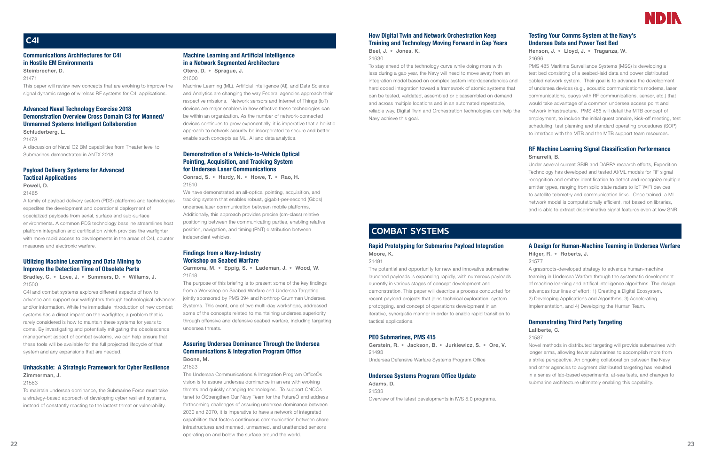# How Digital Twin and Network Orchestration Keep Training and Technology Moving Forward in Gap Years

Beel, J. • Jones, K.

21630

To stay ahead of the technology curve while doing more with less during a gap year, the Navy will need to move away from an integration model based on complex system interdependencies and hard coded integration toward a framework of atomic systems that can be tested, validated, assembled or disassembled on demand and across multiple locations and in an automated repeatable, reliable way. Digital Twin and Orchestration technologies can help the Navy achieve this goal.

# Testing Your Comms System at the Navy's Undersea Data and Power Test Bed

Henson, J. • Lloyd, J. • Traganza, W. 21696

PMS 485 Maritime Surveillance Systems (MSS) is developing a test bed consisting of a seabed-laid data and power distributed cabled network system. Their goal is to advance the development of undersea devices (e.g., acoustic communications modems, laser communications, buoys with RF communications, sensor, etc.) that would take advantage of a common undersea access point and network infrastructure. PMS 485 will detail the MTB concept of employment, to include the initial questionnaire, kick-off meeting, test scheduling, test planning and standard operating procedures (SOP) to interface with the MTB and the MTB support team resources.

# RF Machine Learning Signal Classification Performance Smarrelli, B.

Under several current SBIR and DARPA research efforts, Expedition Technology has developed and tested AI/ML models for RF signal recognition and emitter identification to detect and recognize multiple emitter types, ranging from solid state radars to IoT WiFi devices to satellite telemetry and communication links. Once trained, a ML network model is computationally efficient, not based on libraries, and is able to extract discriminative signal features even at low SNR.

# COMBAT SYSTEMS

# Rapid Prototyping for Submarine Payload Integration Moore, K.

21491

The potential and opportunity for new and innovative submarine launched payloads is expanding rapidly, with numerous payloads currently in various stages of concept development and demonstration. This paper will describe a process conducted for recent payload projects that joins technical exploration, system prototyping, and concept of operations development in an iterative, synergistic manner in order to enable rapid transition to tactical applications.

# PEO Submarines, PMS 415

Gerstein, R. • Jackson, B. • Jurkiewicz, S. • Ore, V. 21493 Undersea Defensive Warfare Systems Program Office

## Undersea Systems Program Office Update Adams, D.

21533 Overview of the latest developments in IWS 5.0 programs.



# A Design for Human-Machine Teaming in Undersea Warfare

Hilger, R. • Roberts, J. 21577

A grassroots-developed strategy to advance human-machine teaming in Undersea Warfare through the systematic development of machine learning and artifical intelligence algorithms. The design advances four lines of effort: 1) Creating a Digital Ecosystem, 2) Developing Applications and Algorithms, 3) Accelerating Implementation, and 4) Developing the Human Team.

# Demonstrating Third Party Targeting

# Laliberte, C.

## 21587

Novel methods in distributed targeting will provide submarines with longer arms, allowing fewer submarines to accomplish more from a strike perspective. An ongoing collaboration between the Navy and other agencies to augment distributed targeting has resulted in a series of lab-based experiments, at-sea tests, and changes to submarine architecture ultimately enabling this capability.

# Communications Architectures for C4I in Hostile EM Environments

Steinbrecher, D.

21471

This paper will review new concepts that are evolving to improve the signal dynamic range of wireless RF systems for C4I applications.

# Advanced Naval Technology Exercise 2018 Demonstration Overview Cross Domain C3 for Manned/ Unmanned Systems Intelligent Collaboration

Schluderberg, L. 21478 A discussion of Naval C2 BM capabilities from Theater level to Submarines demonstrated in ANTX 2018

# Payload Delivery Systems for Advanced Tactical Applications

Powell, D.

21485

A family of payload delivery system (PDS) platforms and technologies expedites the development and operational deployment of specialized payloads from aerial, surface and sub-surface environments. A common PDS technology baseline streamlines host platform integration and certification which provides the warfighter with more rapid access to developments in the areas of C4I, counter measures and electronic warfare.

# Utilizing Machine Learning and Data Mining to Improve the Detection Time of Obsolete Parts

Bradley, C. • Love, J. • Summers, D. • Willams, J. 21500

C4I and combat systems explores different aspects of how to advance and support our warfighters through technological advances and/or information. While the immediate introduction of new combat systems has a direct impact on the warfighter, a problem that is rarely considered is how to maintain these systems for years to come. By investigating and potentially mitigating the obsolescence management aspect of combat systems, we can help ensure that these tools will be available for the full projected lifecycle of that system and any expansions that are needed.

# Unhackable: A Strategic Framework for Cyber Resilience

# Zimmerman, J.

# 21583

To maintain undersea dominance, the Submarine Force must take a strategy-based approach of developing cyber resilient systems, instead of constantly reacting to the lastest threat or vulnerability.

# Machine Learning and Artificial Intelligence in a Network Segmented Architecture

Otero, D. • Sprague, J. 21600

Machine Learning (ML), Artificial Intelligence (AI), and Data Science and Analytics are changing the way Federal agencies approach their respective missions. Network sensors and Internet of Things (IoT) devices are major enablers in how effective these technologies can be within an organization. As the number of network-connected devices continues to grow exponentially, it is imperative that a holistic approach to network security be incorporated to secure and better enable such concepts as ML, AI and data analytics.

# Demonstration of a Vehicle-to-Vehicle Optical Pointing, Acquisition, and Tracking System for Undersea Laser Communications

Conrad, S. • Hardy, N. • Howe, T. • Rao, H. 21610

We have demonstrated an all-optical pointing, acquisition, and tracking system that enables robust, gigabit-per-second (Gbps) undersea laser communication between mobile platforms. Additionally, this approach provides precise (cm-class) relative positioning between the communicating parties, enabling relative position, navigation, and timing (PNT) distribution between independent vehicles.

# Findings from a Navy-Industry Workshop on Seabed Warfare

Carmona, M. • Eppig, S. • Lademan, J. • Wood, W. 21618

The purpose of this briefing is to present some of the key findings from a Workshop on Seabed Warfare and Undersea Targeting jointly sponsored by PMS 394 and Northrop Grumman Undersea Systems. This event, one of two multi-day workshops, addressed some of the concepts related to maintaining undersea superiority through offensive and defensive seabed warfare, including targeting undersea threats.

# Assuring Undersea Dominance Through the Undersea Communications & Integration Program Office Boone, M.

### 21623

The Undersea Communications & Integration Program OfficeÕs vision is to assure undersea dominance in an era with evolving threats and quickly changing technologies. To support CNOÕs tenet to ÒStrengthen Our Navy Team for the FutureÓ and address forthcoming challenges of assuring undersea dominance between 2030 and 2070, it is imperative to have a network of integrated capabilities that fosters continuous communication between shore infrastructures and manned, unmanned, and unattended sensors operating on and below the surface around the world.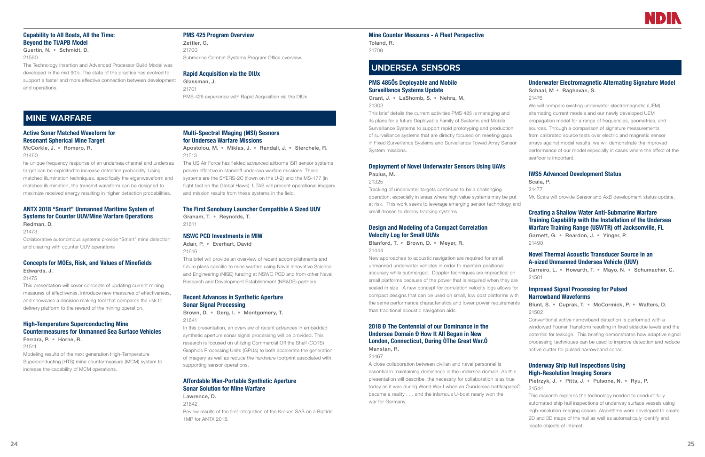# Capability to All Boats, All the Time: Beyond the TI/APB Model

Guertin, N. • Schmidt, D. 21590

The Technology Insertion and Advanced Processor Build Model was developed in the mid 90's. The state of the practice has evolved to support a faster and more effective connection between development and operations.

# PMS 425 Program Overview

Zettler, G. 21700 Submarine Combat Systems Program Office overview.

## Rapid Acquisition via the DIUx

Glassman, J. 21701 PMS 425 experience with Rapid Acquisition via the DIUx

# MINE WARFARE

# Active Sonar Matched Waveform for Resonant Spherical Mine Target

McCorkle, J. • Romero, R. 21460

he unique frequency response of an undersea channel and undersea target can be exploited to increase detection probability. Using matched illumination techniques, specifically the eigenwaveform and matched illumination, the transmit waveform can be designed to maximize received energy resulting in higher detection probabilities.

# ANTX 2018 "Smart" Unmanned Maritime System of Systems for Counter UUV/Mine Warfare Operations

Redman, D. 21473

Collaborative autonomous systems provide "Smart" mine detection and clearing with counter UUV operations

# Concepts for MOEs, Risk, and Values of Minefields

Edwards, J.

21475 This presentation will cover concepts of updating current mining measures of effectivenss, introduce new measures of effectiveness, and showcase a decision making tool that compares the risk to

delivery platform to the reward of the mining operation.

# High-Temperature Superconducting Mine Countermeasures for Unmanned Sea Surface Vehicles

Ferrara, P. • Horne, R.

21511

Modeling results of the next generation High-Temperature Superconducting (HTS) mine countermeasure (MCM) system to increase the capability of MCM operations.

# Multi-Spectral IMaging (MSI) Sesnors for Undersea Warfare Missions

Apostolou, M. • Miklas, J. • Randall, J. • Sterchele, R. 21513

The US Air Force has fielded advanced airborne ISR sensor systems proven effective in standoff undersea warfare missions. These systems are the SYERS-2C (flown on the U-2) and the MS-177 (in flight test on the Global Hawk). UTAS will present operational imagery and mission results from these systems in the field.

# The First Sonobuoy Launcher Compatible A Sized UUV

Graham, T. • Reynolds, T. 21611

# NSWC PCD Investments in MIW

Adair, P. • Everhart, David 21616

This brief will provide an overview of recent accomplishments and future plans specific to mine warfare using Naval Innovative Science and Engineering (NISE) funding at NSWC PCD and from other Naval Research and Development Establishment (NR&DE) partners.

# Recent Advances in Synthetic Aperture Sonar Signal Processing

Brown, D. • Gerg, I. • Montgomery, T. 21641

In this presentation, an overview of recent advances in embedded synthetic aperture sonar signal processing will be provided. This research is focused on utilizing Commercial Off the Shelf (COTS) Graphics Processing Units (GPUs) to both accelerate the generation of imagery as well as reduce the hardware footprint associated with supporting sensor operations.

# Affordable Man-Portable Synthetic Aperture Sonar Solution for Mine Warfare

Lawrence, D. 21642 Review results of the first integration of the Kraken SAS on a Riptide 1MP for ANTX 2018.

Mine Counter Measures - A Fleet Perspective

Toland, R. 21709

# UNDERSEA SENSORS

# PMS 485Õs Deployable and Mobile Surveillance Systems Update

Grant, J. • LaShomb, S. • Nehra, M. 21303

This brief details the current activities PMS 485 is managing and its plans for a future Deployable Family of Systems and Mobile Surveillance Systems to support rapid prototyping and production of surveillance systems that are directly focused on meeting gaps in Fixed Surveillance Systems and Surveillance Towed Array Sensor System missions.

# Deployment of Novel Underwater Sensors Using UAVs Paulus, M.

21325

Tracking of underwater targets continues to be a challenging operation, especially in areas where high value systems may be put at risk. This work seeks to leverage emerging sensor technology and small drones to deploy tracking systems.

# Design and Modeling of a Compact Correlation Velocity Log for Small UUVs

Blanford, T. • Brown, D. • Meyer, R. 21444

New approaches to acoustic navigation are required for small unmanned underwater vehicles in order to maintain positional accuracy while submerged. Doppler techniques are impractical on small platforms because of the power that is required when they are scaled in size. A new concept for correlation velocity logs allows for compact designs that can be used on small, low cost platforms with the same performance characteristics and lower power requirements than traditional acoustic navigation aids.

# 2018 Ð The Centennial of our Dominance in the Undersea Domain Ð How It All Began in New London, Connecticut, During ÒThe Great War.Ó Manstan, R.

21467

A close collaboration between civilian and naval personnel is essential in maintaining dominance in the undersea domain. As this presentation will describe, the necessity for collaboration is as true today as it was during World War I when an Òundersea battlespaceÓ became a reality . . . and the infamous U-boat nearly won the war for Germany.



# Underwater Electromagnetic Alternating Signature Model

Schaal, M • Raghavan, S.

21476

We will compare existing underwater electromagnetic (UEM) alternating current models and our newly developed UEM propagation model for a range of frequencies, geometries, and sources. Through a comparison of signature measurements from calibrated source tests over electric and magnetic sensor arrays against model results, we will demonstrate the improved performance of our model especially in cases where the effect of the seafloor is important.

# IWS5 Advanced Development Status

Scala, P.

21477

Mr. Scala will provide Sensor and AxB development status update.

# Creating a Shallow Water Anti-Submarine Warfare Training Capability with the Installation of the Undersea Warfare Training Range (USWTR) off Jacksonville, FL

Garnett, G. • Reardon, J. • Yinger, P. 21490

# Novel Thermal Acoustic Transducer Source in an A-sized Unmanned Undersea Vehicle (UUV)

Carreiro, L. • Howarth, T. • Mayo, N. • Schumacher, C. 21501

# Improved Signal Processing for Pulsed Narrowband Waveforms

Blunt, S. • Cuprak, T. • McCormick, P. • Walters, D. 21502

Conventional active narrowband detection is performed with a windowed Fourier Transform resulting in fixed sidelobe levels and the potential for leakage. This briefing demonstrates how adaptive signal processing techniques can be used to improve detection and reduce active clutter for pulsed narrowband sonar.

# Underway Ship Hull Inspections Using High-Resolution Imaging Sonars

```
Pietrzyk, J. • Pitts, J. • Pulsone, N. • Ryu, P.
21544
```
This research explores the technology needed to conduct fully automated ship hull inspections of underway surface vessels using high-resolution imaging sonars. Algorithms were developed to create 2D and 3D maps of the hull as well as automatically identify and locate objects of interest.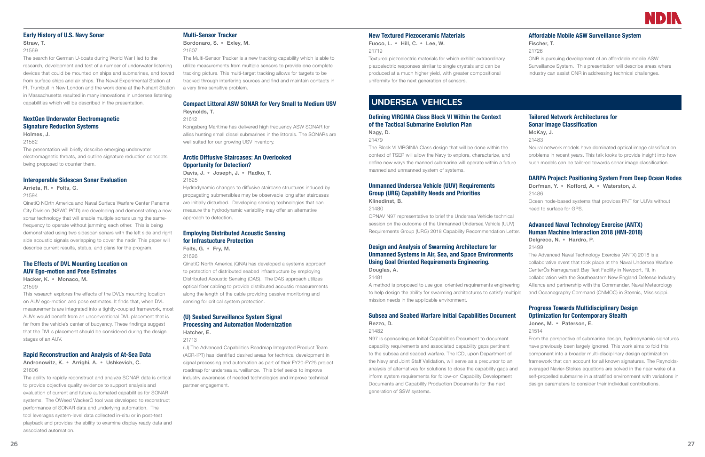# Early History of U.S. Navy Sonar

# Straw, T.

21569

The search for German U-boats during World War I led to the research, development and test of a number of underwater listening devices that could be mounted on ships and submarines, and towed from surface ships and air ships. The Naval Experimental Station at Ft. Trumbull in New London and the work done at the Nahant Station in Massachusetts resulted in many innovations in undersea listening capabilities which will be described in the presentation.

# NextGen Underwater Electromagnetic Signature Reduction Systems

## Holmes, J.

### 21582

The presentation will briefly describe emerging underwater electromagnetic threats, and outline signature reduction concepts being proposed to counter them.

## Interoperable Sidescan Sonar Evaluation

Arrieta, R. • Folts, G. 21594

QinetiQ NOrth America and Naval Surface Warfare Center Panama City Division (NSWC PCD) are developing and demonstrating a new sonar technology that will enable multiple sonars using the samefrequency to operate without jamming each other. This is being demonstrated using two sidescan sonars with the left side and right side acoustic signals overlapping to cover the nadir. This paper will describe current results, status, and plans for the program.

# The Effects of DVL Mounting Location on AUV Ego-motion and Pose Estimates

Hacker, K. • Monaco, M. 21599

This research explores the effects of the DVL's mounting location on AUV ego-motion and pose estimates. It finds that, when DVL measurements are integrated into a tightly-coupled framework, most AUVs would benefit from an unconventional DVL placement that is far from the vehicle's center of buoyancy. These findings suggest that the DVL's placement should be considered during the design stages of an AUV.

# Rapid Reconstruction and Analysis of At-Sea Data

Andronowitz, K. • Arrighi, A. • Ushkevich, C. 21606

The ability to rapidly reconstruct and analyze SONAR data is critical to provide objective quality evidence to support analysis and evaluation of current and future automated capabilities for SONAR systems. The ÒWeed WackerÓ tool was developed to reconstruct performance of SONAR data and underlying automation. The tool leverages system-level data collected in-situ or in post-test playback and provides the ability to examine display ready data and associated automation.

# Multi-Sensor Tracker

Bordonaro, S. • Exley, M. 21607

The Multi-Sensor Tracker is a new tracking capability which is able to utilize measurements from multiple sensors to provide one complete tracking picture. This multi-target tracking allows for targets to be tracked through interfering sources and find and maintain contacts in a very time sensitive problem.

# Compact Littoral ASW SONAR for Very Small to Medium USV Reynolds, T.

21612

Kongsberg Maritime has delivered high frequency ASW SONAR for allies hunting small diesel submarines in the littorals. The SONARs are well suited for our growing USV inventory.

# Arctic Diffusive Staircases: An Overlooked Opportunity for Detection?

Davis, J. • Joseph, J. • Radko, T. 21625

Hydrodynamic changes to diffusive staircase structures induced by propagating submersibles may be observable long after staircases are initially disturbed. Developing sensing technologies that can measure the hydrodynamic variability may offer an alternative approach to detection.

# Employing Distributed Acoustic Sensing for Infrastucture Protection

Folts, G. • Fry, M.

21626

QinetiQ North America (QNA) has developed a systems approach to protection of distributed seabed infrastructure by employing Distributed Acoustic Sensing (DAS). The DAS approach utilizes optical fiber cabling to provide distributed acoustic measurements along the length of the cable providing passive monitoring and sensing for critical system protection.

# (U) Seabed Surveillance System Signal Processing and Automation Modernization Hatcher, E.

21713

(U) The Advanced Capabilities Roadmap Integrated Product Team (ACR-IPT) has identified desired areas for technical development in signal processing and automation as part of their FY20-FY25 project roadmap for undersea surveillance. This brief seeks to improve industry awareness of needed technologies and improve technical partner engagement.

# New Textured Piezoceramic Materials

Fuoco, L. • Hill, C. • Lee, W. 21719

Textured piezoelectric materials for which exhibit extraordinary piezoelectric responses similar to single crystals and can be produced at a much higher yield, with greater compositional uniformity for the next generation of sensors.

# Affordable Mobile ASW Surveillance System

Fischer, T.

21726

ONR is pursuing development of an affordable mobile ASW Surveillance System. This presentation will describe areas where industry can assist ONR in addressing technical challenges.

# UNDERSEA VEHICLES

# Defining VIRGINIA Class Block VI Within the Context of the Tactical Submarine Evolution Plan

Nagy, D.

21479

The Block VI VIRGINIA Class design that will be done within the context of TSEP will allow the Navy to explore, characterize, and define new ways the manned submarine will operate within a future manned and unmanned system of systems.

# Unmanned Undersea Vehicle (UUV) Requirements Group (URG) Capability Needs and Priorities

Klinedinst, B.

21480

OPNAV N97 representative to brief the Undersea Vehicle technical session on the outcome of the Unmanned Undersea Vehicle (UUV) Requirements Group (URG) 2018 Capability Recommendation Letter.

# Design and Analysis of Swarming Architecture for Unmanned Systems in Air, Sea, and Space Environments Using Goal Oriented Requirements Engineering.

Douglas, A.

21481

A method is proposed to use goal oriented requirements engineering to help design the ability for swarming architectures to satisfy multiple mission needs in the applicable environment.

# Subsea and Seabed Warfare Initial Capabilities Document Rezzo, D.

21482

N97 is sponsoring an Initial Capabilities Document to document capability requirements and associated capability gaps pertinent to the subsea and seabed warfare. The ICD, upon Department of the Navy and Joint Staff Validation, will serve as a precursor to an analysis of alternatives for solutions to close the capability gaps and inform system requirements for follow-on Capability Development Documents and Capability Production Documents for the next generation of SSW systems.



# Tailored Network Architectures for Sonar Image Classification

McKay, J.

21483

Neural network models have dominated optical image classification problems in recent years. This talk looks to provide insight into how such models can be tailored towards sonar image classification.

# DARPA Project: Positioning System From Deep Ocean Nodes

Dorfman, Y. • Kofford, A. • Waterston, J. 21486

Ocean node-based systems that provides PNT for UUVs without need to surface for GPS.

# Advanced Naval Technology Exercise (ANTX) Human Machine Interaction 2018 (HMI-2018)

Delgreco, N. • Hardro, P.

21499

The Advanced Naval Technology Exercise (ANTX) 2018 is a collaborative event that took place at the Naval Undersea Warfare CenterÕs Narragansett Bay Test Facility in Newport, RI, in collaboration with the Southeastern New England Defense Industry Alliance and partnership with the Commander, Naval Meteorology and Oceanography Command (CNMOC) in Stennis, Mississippi.

Progress Towards Multidisciplinary Design Optimization for Contemporary Stealth

Jones, M. • Paterson, E.

21514

From the perspective of submarine design, hydrodynamic signatures have previously been largely ignored. This work aims to fold this component into a broader multi-disciplinary design optimization framework that can account for all known signatures. The Reynoldsaveraged Navier-Stokes equations are solved in the near wake of a self-propelled submarine in a stratified environment with variations in design parameters to consider their individual contributions.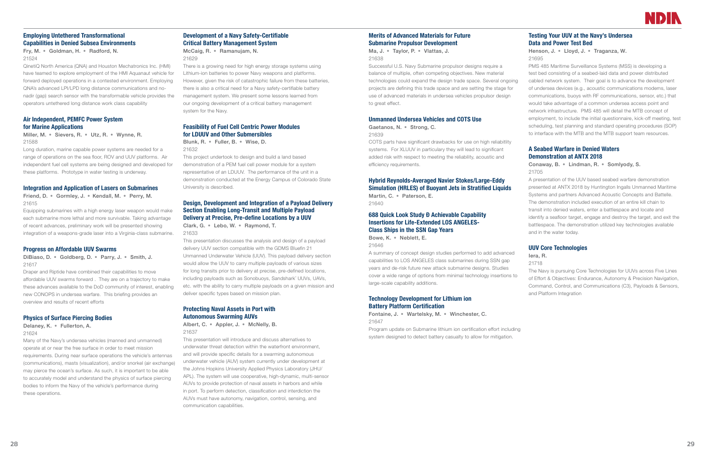# Employing Untethered Transformational Capabilities in Denied Subsea Environments

Fry, M. • Goldman, H. • Radford, N. 21524

QinetiQ North America (QNA) and Houston Mechatronics Inc. (HMI) have teamed to explore employment of the HMI Aquanaut vehicle for forward deployed operations in a contested environment. Employing QNA's advanced LPI/LPD long distance communications and nonadir (gap) search sensor with the transformable vehicle provides the operators untethered long distance work class capability

# Air Independent, PEMFC Power System for Marine Applications

# Miller, M. • Sievers, R. • Utz, R. • Wynne, R. 21588

Long duration, marine capable power systems are needed for a range of operations on the sea floor, ROV and UUV platforms. Air independent fuel cell systems are being designed and developed for these platforms. Prototype in water testing is underway.

# Integration and Application of Lasers on Submarines

Friend, D. • Gormley, J. • Kendall, M. • Perry, M. 21615

Equipping submarines with a high energy laser weapon would make each submarine more lethal and more survivable. Taking advantage of recent advances, preliminary work will be presented showing integration of a weapons-grade laser into a Virginia-class submarine.

# Progress on Affordable UUV Swarms

DiBiaso, D. • Goldberg, D. • Parry, J. • Smith, J. 21617

Draper and Riptide have combined their capabilities to move affordable UUV swarms forward . They are on a trajectory to make these advances available to the DoD community of interest, enabling new CONOPS in undersea warfare. This briefing provides an overview and results of recent efforts

# Physics of Surface Piercing Bodies

## Delaney, K. • Fullerton, A.

21624

Many of the Navy's undersea vehicles (manned and unmanned) operate at or near the free surface in order to meet mission requirements. During near surface operations the vehicle's antennas (communications), masts (visualization), and/or snorkel (air exchange) may pierce the ocean's surface. As such, it is important to be able to accurately model and understand the physics of surface piercing bodies to inform the Navy of the vehicle's performance during these operations.

# Development of a Navy Safety-Certifiable Critical Battery Management System

McCaig, R. • Ramanujam, N. 21629

There is a growing need for high energy storage systems using Lithium-ion batteries to power Navy weapons and platforms. However, given the risk of catastrophic failure from these batteries, there is also a critical need for a Navy safety-certifiable battery management system. We present some lessons learned from our ongoing development of a critical battery management system for the Navy.

# Feasibility of Fuel Cell Centric Power Modules for LDUUV and Other Submersibles

Blunk, R. • Fuller, B. • Wise, D. 21632

This project undertook to design and build a land based demonstration of a PEM fuel cell power module for a system representative of an LDUUV. The performance of the unit in a demonstration conducted at the Energy Campus of Colorado State University is described.

# Design, Development and Integration of a Payload Delivery Section Enabling Long-Transit and Multiple Payload Delivery at Precise, Pre-define Locations by a UUV Clark, G. • Lebo, W. • Raymond, T.

21633

This presentation discusses the analysis and design of a payload delivery UUV section compatible with the GDMS Bluefin 21 Unmanned Underwater Vehicle (UUV). This payload delivery section would allow the UUV to carry multiple payloads of various sizes for long transits prior to delivery at precise, pre-defined locations, including payloads such as Sonobuoys, Sandshark¨ UUVs, UAVs, etc. with the ability to carry multiple payloads on a given mission and deliver specific types based on mission plan.

# Protecting Naval Assets in Port with Autonomous Swarming AUVs

Albert, C. • Appler, J. • McNelly, B. 21637

This presentation will introduce and discuss alternatives to underwater threat detection within the waterfront environment, and will provide specific details for a swarming autonomous underwater vehicle (AUV) system currently under development at the Johns Hopkins University Applied Physics Laboratory (JHU/ APL). The system will use cooperative, high-dynamic, multi-sensor AUVs to provide protection of naval assets in harbors and while in port. To perform detection, classification and interdiction the AUVs must have autonomy, navigation, control, sensing, and communication capabilities.

# Merits of Advanced Materials for Future Submarine Propulsor Development

Ma, J. • Taylor, P. • Vlattas, J. 21638

Successful U.S. Navy Submarine propulsor designs require a balance of multiple, often competing objectives. New material technologies could expand the design trade space. Several ongoing projects are defining this trade space and are setting the stage for use of advanced materials in undersea vehicles propulsor design to great effect.

# Unmanned Undersea Vehicles and COTS Use

Gaetanos, N. • Strong, C.

21639

COTS parts have significant drawbacks for use on high reliabitlity systems. For XLUUV in particulary they will lead to significant added risk with respect to meeting the reliability, acoustic and efficiency requirements.

# Hybrid Reynolds-Averaged Navier Stokes/Large-Eddy Simulation (HRLES) of Buoyant Jets in Stratified Liquids Martin, C. • Paterson, E.

21640

# 688 Quick Look Study Ð Achievable Capability Insertions for Life-Extended LOS ANGELES-Class Ships in the SSN Gap Years

Bowe, K. • Neblett, E. 21646

A summary of concept design studies performed to add advanced capabilities to LOS ANGELES class submarines during SSN gap years and de-risk future new attack submarine designs. Studies cover a wide range of options from minimal technology insertions to large-scale capability additions.

# Technology Development for Lithium ion Battery Platform Certification

Fontaine, J. • Wartelsky, M. • Winchester, C. 21647

Program update on Submarine lithium ion certification effort including system designed to detect battery casualty to allow for mitigation.



# Testing Your UUV at the Navy's Undersea Data and Power Test Bed

Henson, J. • Lloyd, J. • Traganza, W. 21695

PMS 485 Maritime Surveillance Systems (MSS) is developing a test bed consisting of a seabed-laid data and power distributed cabled network system. Their goal is to advance the development of undersea devices (e.g., acoustic communications modems, laser communications, buoys with RF communications, sensor, etc.) that would take advantage of a common undersea access point and network infrastructure. PMS 485 will detail the MTB concept of employment, to include the initial questionnaire, kick-off meeting, test scheduling, test planning and standard operating procedures (SOP) to interface with the MTB and the MTB support team resources.

# A Seabed Warfare in Denied Waters Demonstration at ANTX 2018

Conaway, B. • Lindman, R. • Somlyody, S. 21705

A presentation of the UUV based seabed warfare demonstration presented at ANTX 2018 by Huntington Ingalls Unmanned Maritime Systems and partners Advanced Acoustic Concepts and Battelle. The demonstration included execution of an entire kill chain to transit into denied waters, enter a battlespace and locate and identify a seafloor target, engage and destroy the target, and exit the battlespace. The demonstration utilized key technologies available and in the water today.

# UUV Core Technologies

Iera, R.

21718

The Navy is pursuing Core Technologies for UUVs across Five Lines of Effort & Objectives: Endurance, Autonomy & Precision Navigation, Command, Control, and Communications (C3), Payloads & Sensors, and Platform Integration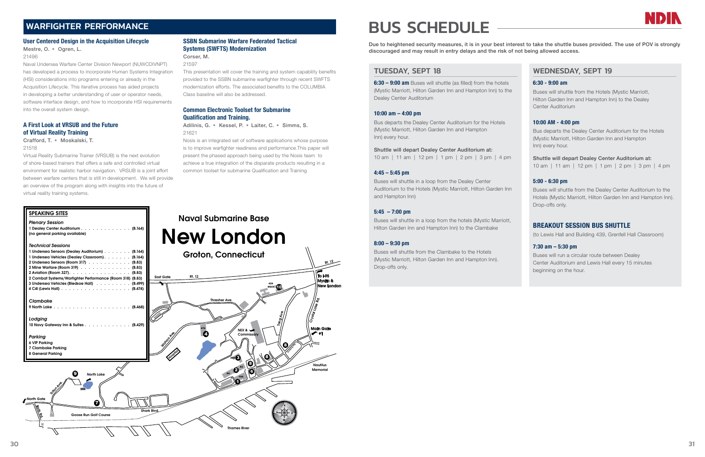

# WARFIGHTER PERFORMANCE

# User Centered Design in the Acquisition Lifecycle

Mestre, O. • Ogren, L.

21496

Naval Undersea Warfare Center Division Newport (NUWCDIVNPT) has developed a process to incorporate Human Systems Integration (HSI) considerations into programs entering or already in the Acquisition Lifecycle. This iterative process has aided projects in developing a better understanding of user or operator needs, software interface design, and how to incorporate HSI requirements into the overall system design.

# A First Look at VRSUB and the Future of Virtual Reality Training

## Crafford, T. • Moskalski, T. 21518

Virtual Reality Submarine Trainer (VRSUB) is the next evolution of shore-based trainers that offers a safe and controlled virtual environment for realistic harbor navigation. VRSUB is a joint effort between warfare centers that is still in development. We will provide an overview of the program along with insights into the future of virtual reality training systems.

SPEAKING SITES<br>
Plenary Session<br>
1 Dealey Center Auditorium . . . . . . . . . . . . . . (B.164)

# SSBN Submarine Warfare Federated Tactical Systems (SWFTS) Modernization

## Corser, M. 21597

This presentation will cover the training and system capability benefits provided to the SSBN submarine warfighter through recent SWFTS modernization efforts. The associated benefits to the COLUMBIA Class baseline will also be addressed.

# Common Electronic Toolset for Submarine Qualification and Training.

Adilinis, G. • Kessel, P. • Laiter, C. • Simms, S. 21621

Nosis is an integrated set of software applications whose purpose is to improve warfighter readiness and performance.This paper will present the phased approach being used by the Nosis team to achieve a true integration of the disparate products resulting in a common toolset for submarine Qualification and Training

# BUS SCHEDULE

Due to heightened security measures, it is in your best interest to take the shuttle buses provided. The use of POV is strongly discouraged and may result in entry delays and the risk of not being allowed access.

# TUESDAY, SEPT 18

6:30 – 9:00 am Buses will shuttle (as filled) from the hotels (Mystic Marriott, Hilton Garden Inn and Hampton Inn) to the Dealey Center Auditorium

# 10:00 am – 4:00 pm

Bus departs the Dealey Center Auditorium for the Hotels (Mystic Marriott, Hilton Garden Inn and Hampton Inn) every hour.

# Shuttle will depart Dealey Center Auditorium at:

10 am | 11 am | 12 pm | 1 pm | 2 pm | 3 pm | 4 pm

# 4:45 – 5:45 pm

Buses will shuttle in a loop from the Dealey Center Auditorium to the Hotels (Mystic Marriott, Hilton Garden Inn and Hampton Inn)

# $5:45 - 7:00$  pm

Buses will shuttle in a loop from the hotels (Mystic Marriott, Hilton Garden Inn and Hampton Inn) to the Clambake

# 8:00 – 9:30 pm

Buses will shuttle from the Clambake to the Hotels (Mystic Marriott, Hilton Garden Inn and Hampton Inn). Drop-offs only.

# WEDNESDAY, SEPT 19

## 6:30 - 9:00 am

Buses will shuttle from the Hotels (Mystic Marriott, Hilton Garden Inn and Hampton Inn) to the Dealey Center Auditorium

# 10:00 AM - 4:00 pm

Bus departs the Dealey Center Auditorium for the Hotels (Mystic Marriott, Hilton Garden Inn and Hampton Inn) every hour.

Shuttle will depart Dealey Center Auditorium at: 10 am | 11 am | 12 pm | 1 pm | 2 pm | 3 pm | 4 pm

# 5:00 - 6:30 pm

Buses will shuttle from the Dealey Center Auditorium to the Hotels (Mystic Marriott, Hilton Garden Inn and Hampton Inn). Drop-offs only.

# BREAKOUT SESSION BUS SHUTTLE

(to Lewis Hall and Building 439, Grenfell Hall Classroom)

# 7:30 am – 5:30 pm

Buses will run a circular route between Dealey Center Auditorium and Lewis Hall every 15 minutes beginning on the hour.

SPEAKING SITES *Plenary Session* 

(no general parking available)



# Naval Submarine Base New London